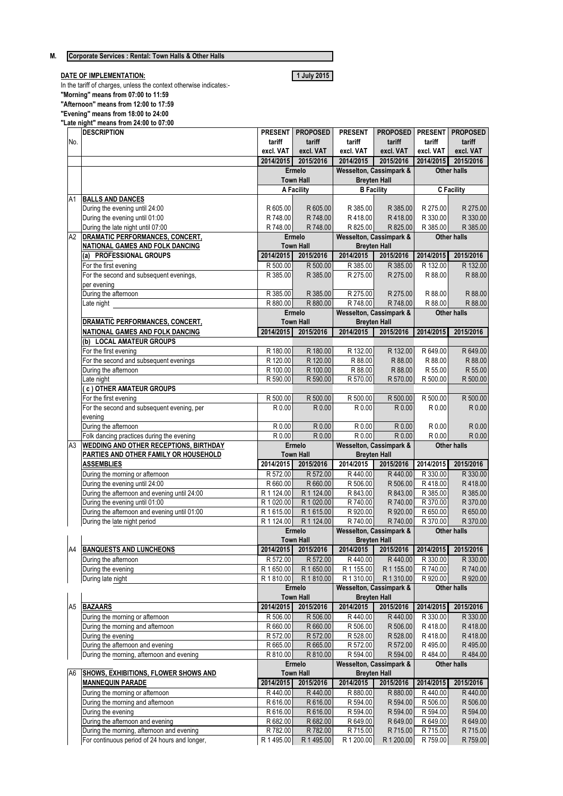## **M. Corporate Services : Rental: Town Halls & Other Halls**

## **DATE OF IMPLEMENTATION: 1 July 2015**

In the tariff of charges, unless the context otherwise indicates:- **"Morning" means from 07:00 to 11:59 "Afternoon" means from 12:00 to 17:59 "Evening" means from 18:00 to 24:00 "Late night" means from 24:00 to 07:00**

|                            | <b>DESCRIPTION</b>                                                                         | <b>PRESENT</b>             | <b>PROPOSED</b>       | <b>PRESENT</b>                                            | <b>PROPOSED</b>                         | <b>PRESENT</b>       | <b>PROPOSED</b>                                                                                                                                                                                                |
|----------------------------|--------------------------------------------------------------------------------------------|----------------------------|-----------------------|-----------------------------------------------------------|-----------------------------------------|----------------------|----------------------------------------------------------------------------------------------------------------------------------------------------------------------------------------------------------------|
| No.                        |                                                                                            | tariff                     | tariff                | tariff                                                    | tariff                                  | tariff               | tariff                                                                                                                                                                                                         |
|                            |                                                                                            | excl. VAT                  | excl. VAT             | excl. VAT                                                 | excl. VAT                               | excl. VAT            | excl. VAT                                                                                                                                                                                                      |
|                            |                                                                                            |                            | 2014/2015 2015/2016   | 2014/2015                                                 | 2015/2016                               | 2014/2015            | 2015/2016                                                                                                                                                                                                      |
|                            |                                                                                            |                            | Ermelo                |                                                           | <b>Wesselton, Cassimpark &amp;</b>      |                      | <b>Other halls</b>                                                                                                                                                                                             |
|                            |                                                                                            |                            | <b>Town Hall</b>      | <b>Breyten Hall</b>                                       |                                         |                      |                                                                                                                                                                                                                |
|                            |                                                                                            |                            | A Facility            | <b>B</b> Facility                                         |                                         |                      | <b>C</b> Facility                                                                                                                                                                                              |
| A1                         | <b>BALLS AND DANCES</b>                                                                    |                            |                       |                                                           |                                         |                      |                                                                                                                                                                                                                |
|                            | During the evening until 24:00                                                             | R 605.00                   | R 605.00              | R 385.00                                                  | R 385.00                                | R 275.00             | R 275.00                                                                                                                                                                                                       |
|                            | During the evening until 01:00                                                             | R 748.00                   | R 748.00              | R418.00                                                   | R418.00                                 | R 330.00             | R 330.00                                                                                                                                                                                                       |
|                            | During the late night until 07:00                                                          | R 748.00                   | R 748.00              | R 825.00                                                  | R 825.00                                | R 385.00             | R 385.00                                                                                                                                                                                                       |
| A2                         | DRAMATIC PERFORMANCES, CONCERT,                                                            | Ermelo<br><b>Town Hall</b> |                       | <b>Wesselton, Cassimpark &amp;</b><br><b>Breyten Hall</b> |                                         | <b>Other halls</b>   |                                                                                                                                                                                                                |
|                            | NATIONAL GAMES AND FOLK DANCING                                                            |                            |                       |                                                           |                                         |                      |                                                                                                                                                                                                                |
|                            | (a) PROFESSIONAL GROUPS                                                                    | 2014/2015                  | 2015/2016             | 2014/2015                                                 | 2015/2016                               | 2014/2015            | 2015/2016                                                                                                                                                                                                      |
|                            | For the first evening                                                                      | R 500.00                   | R 500.00              | R 385.00                                                  | R 385.00                                | R 132.00             | R 132.00                                                                                                                                                                                                       |
|                            | For the second and subsequent evenings,                                                    | R 385.00                   | R 385.00              | R 275.00                                                  | R 275.00                                | R 88.00              | R 88.00                                                                                                                                                                                                        |
|                            | per evening                                                                                |                            |                       |                                                           |                                         |                      |                                                                                                                                                                                                                |
|                            | During the afternoon                                                                       | R 385.00                   | R 385.00              | R 275.00                                                  | R 275.00                                | R 88.00              | R 88.00                                                                                                                                                                                                        |
|                            | Late night                                                                                 | R 880.00                   | R 880.00<br>Ermelo    | R 748.00                                                  | R 748.00                                | R 88.00              | R 88.00                                                                                                                                                                                                        |
|                            | DRAMATIC PERFORMANCES, CONCERT,                                                            |                            | <b>Town Hall</b>      | <b>Wesselton, Cassimpark &amp;</b><br><b>Breyten Hall</b> |                                         | <b>Other halls</b>   |                                                                                                                                                                                                                |
|                            |                                                                                            | 2014/2015                  | 2015/2016             | 2014/2015                                                 | 2015/2016                               | 2014/2015            | 2015/2016                                                                                                                                                                                                      |
|                            | <b>NATIONAL GAMES AND FOLK DANCING</b><br>(b) LOCAL AMATEUR GROUPS                         |                            |                       |                                                           |                                         |                      |                                                                                                                                                                                                                |
|                            | For the first evening                                                                      | R 180.00                   | R 180.00              | R 132.00                                                  | R 132.00                                | R 649.00             | R 649.00                                                                                                                                                                                                       |
|                            | For the second and subsequent evenings                                                     | R 120.00                   | R 120.00              | R 88.00                                                   | R 88.00                                 | R 88.00              | R 88.00                                                                                                                                                                                                        |
|                            | During the afternoon                                                                       | R 100.00                   | R 100.00              | R 88.00                                                   | R 88.00                                 | R 55.00              | R 55.00                                                                                                                                                                                                        |
|                            | Late night                                                                                 | R 590.00                   | R 590.00              | R 570.00                                                  | R 570.00                                | R 500.00             | R 500.00                                                                                                                                                                                                       |
|                            | (c) OTHER AMATEUR GROUPS                                                                   |                            |                       |                                                           |                                         |                      |                                                                                                                                                                                                                |
|                            | For the first evening                                                                      | R 500.00                   | R 500.00              | R 500.00                                                  | R 500.00                                | R 500.00             | R 500.00                                                                                                                                                                                                       |
|                            | For the second and subsequent evening, per                                                 | R 0.00                     | R 0.00                | R 0.00                                                    | R 0.00                                  | R 0.00               | R 0.00                                                                                                                                                                                                         |
|                            | evening                                                                                    |                            |                       |                                                           |                                         |                      |                                                                                                                                                                                                                |
|                            | During the afternoon                                                                       | R 0.00                     | R 0.00                | R 0.00                                                    | R 0.00                                  | R 0.00               | R 0.00                                                                                                                                                                                                         |
|                            | Folk dancing practices during the evening                                                  | R 0.00                     | R 0.00                | R 0.00                                                    | R 0.00                                  | R 0.00               | R 0.00                                                                                                                                                                                                         |
| A <sub>3</sub>             | <b>WEDDING AND OTHER RECEPTIONS, BIRTHDAY</b>                                              |                            | Ermelo                | <b>Wesselton, Cassimpark &amp;</b>                        |                                         |                      | <b>Other halls</b>                                                                                                                                                                                             |
|                            | PARTIES AND OTHER FAMILY OR HOUSEHOLD                                                      |                            | <b>Town Hall</b>      | <b>Breyten Hall</b>                                       |                                         |                      |                                                                                                                                                                                                                |
|                            |                                                                                            |                            |                       |                                                           |                                         |                      |                                                                                                                                                                                                                |
|                            | <b>ASSEMBLIES</b>                                                                          | 2014/2015                  | 2015/2016             | 2014/2015                                                 | 2015/2016                               | 2014/2015            |                                                                                                                                                                                                                |
|                            | During the morning or afternoon                                                            | R 572.00                   | R 572.00              | R440.00                                                   | R440.00                                 | R 330.00             | 2015/2016                                                                                                                                                                                                      |
|                            | During the evening until 24:00                                                             | R 660.00                   | R 660.00              | R 506.00                                                  | R 506.00                                | R418.00              |                                                                                                                                                                                                                |
|                            | During the afternoon and evening until 24:00                                               | R 1 124.00                 | R 1 124.00            | R 843.00                                                  | R 843.00                                | R 385.00             |                                                                                                                                                                                                                |
|                            | During the evening until 01:00                                                             | R 1 020.00                 | R 1 020.00            | R 740.00                                                  | R 740.00                                | R 370.00             |                                                                                                                                                                                                                |
|                            | During the afternoon and evening until 01:00                                               | R 1615.00                  | R 1615.00             | R 920.00                                                  | R 920.00                                | R 650.00             |                                                                                                                                                                                                                |
|                            | During the late night period                                                               | R 1 124.00                 | R 1 124.00            | R 740.00                                                  | R 740.00                                | R 370.00             |                                                                                                                                                                                                                |
|                            |                                                                                            |                            | Ermelo                | <b>Wesselton, Cassimpark &amp;</b>                        |                                         |                      | <b>Other halls</b>                                                                                                                                                                                             |
|                            |                                                                                            |                            | <b>Town Hall</b>      | <b>Breyten Hall</b>                                       |                                         |                      |                                                                                                                                                                                                                |
|                            | <b>BANQUESTS AND LUNCHEONS</b>                                                             |                            | 2014/2015 2015/2016   |                                                           | 2014/2015 2015/2016 2014/2015 2015/2016 |                      |                                                                                                                                                                                                                |
|                            | During the afternoon                                                                       | R 572.00                   | R 572.00              | R440.00                                                   | R440.00                                 | R 330.00             |                                                                                                                                                                                                                |
|                            | During the evening                                                                         | R 1650.00                  | R 1650.00             | R 1 155.00                                                | R 1 155.00                              | R 740.00             |                                                                                                                                                                                                                |
|                            | During late night                                                                          | R 1810.00                  | R 1810.00             | R 1 310.00                                                | R 1 310.00                              | R 920.00             |                                                                                                                                                                                                                |
|                            |                                                                                            |                            | Ermelo                | Wesselton, Cassimpark &                                   |                                         |                      | Other halls                                                                                                                                                                                                    |
|                            |                                                                                            |                            | <b>Town Hall</b>      | <b>Breyten Hall</b>                                       |                                         |                      |                                                                                                                                                                                                                |
|                            | <b>BAZAARS</b>                                                                             | 2014/2015                  | 2015/2016             | 2014/2015                                                 | 2015/2016                               | 2014/2015            | 2015/2016                                                                                                                                                                                                      |
|                            | During the morning or afternoon                                                            | R 506.00                   | R 506.00              | R440.00                                                   | R440.00                                 | R 330.00             |                                                                                                                                                                                                                |
|                            | During the morning and afternoon                                                           | R 660.00                   | R 660.00              | R 506.00                                                  | R 506.00                                | R418.00              |                                                                                                                                                                                                                |
|                            | During the evening                                                                         | R 572.00                   | R 572.00              | R 528.00                                                  | R 528.00                                | R418.00              |                                                                                                                                                                                                                |
|                            | During the afternoon and evening                                                           | R 665.00                   | R 665.00              | R 572.00                                                  | R 572.00                                | R495.00              |                                                                                                                                                                                                                |
|                            | During the morning, afternoon and evening                                                  | R 810.00                   | R 810.00              | R 594.00                                                  | R 594.00                                | R484.00              |                                                                                                                                                                                                                |
|                            |                                                                                            |                            | Ermelo                | Wesselton, Cassimpark &                                   |                                         |                      | <b>Other halls</b>                                                                                                                                                                                             |
|                            | <b>SHOWS, EXHIBITIONS, FLOWER SHOWS AND</b>                                                |                            | <b>Town Hall</b>      | <b>Breyten Hall</b>                                       |                                         |                      |                                                                                                                                                                                                                |
|                            | <b>MANNEQUIN PARADE</b>                                                                    | 2014/2015                  | 2015/2016             | 2014/2015                                                 | 2015/2016                               | 2014/2015            | 2015/2016                                                                                                                                                                                                      |
|                            | During the morning or afternoon                                                            | R440.00                    | R440.00               | R 880.00                                                  | R 880.00                                | R440.00              |                                                                                                                                                                                                                |
|                            | During the morning and afternoon                                                           | R 616.00                   | R 616.00              | R 594.00                                                  | R 594.00                                | R 506.00             |                                                                                                                                                                                                                |
|                            | During the evening                                                                         | R 616.00                   | R 616.00              | R 594.00                                                  | R 594.00                                | R 594.00             |                                                                                                                                                                                                                |
|                            | During the afternoon and evening                                                           | R 682.00                   | R 682.00              | R 649.00                                                  | R 649.00                                | R 649.00             | R 330.00<br>R418.00<br>R 385.00<br>R 370.00<br>R 650.00<br>R 370.00<br>R 330.00<br>R 740.00<br>R 920.00<br>R 330.00<br>R418.00<br>R418.00<br>R495.00<br>R484.00<br>R440.00<br>R 506.00<br>R 594.00<br>R 649.00 |
| A4<br>A <sub>5</sub><br>A6 | During the morning, afternoon and evening<br>For continuous period of 24 hours and longer, | R 782.00<br>R 1 495.00     | R 782.00<br>R 1495.00 | R 715.00<br>R 1 200.00                                    | R 715.00<br>R 1 200.00                  | R 715.00<br>R 759.00 | R 715.00<br>R 759.00                                                                                                                                                                                           |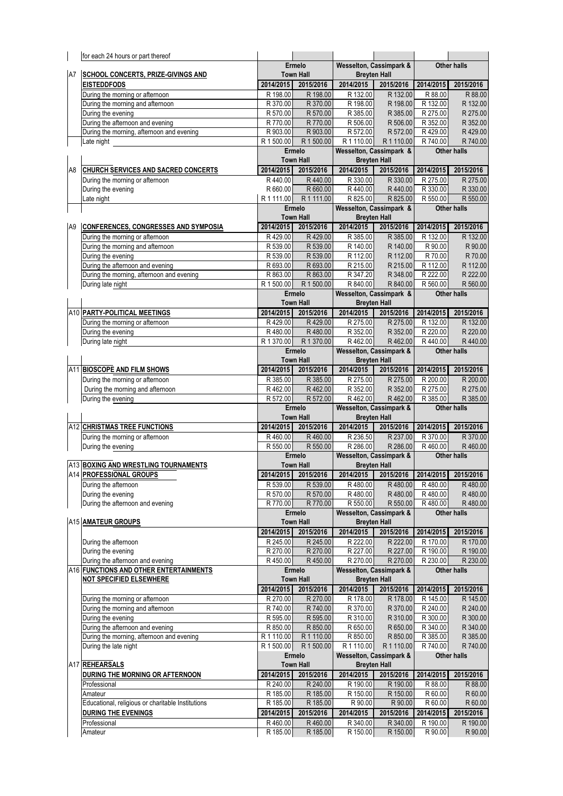| <b>Wesselton, Cassimpark &amp;</b><br>Ermelo<br><b>Town Hall</b><br><b>Breyten Hall</b><br>A7<br><b>SCHOOL CONCERTS, PRIZE-GIVINGS AND</b><br>2014/2015<br>2014/2015<br>2015/2016<br>2015/2016<br>2014/2015<br><b>EISTEDDFODS</b><br>2015/2016<br>During the morning or afternoon<br>R 88.00<br>R 198.00<br>R 198.00<br>R 132.00<br>R 132.00<br>R 88.00<br>R 370.00<br>R 132.00<br>During the morning and afternoon<br>R 370.00<br>R 198.00<br>R 198.00<br>R 132.00<br>During the evening<br>R 570.00<br>R 570.00<br>R 385.00<br>R 385.00<br>R 275.00<br>R 275.00<br>During the afternoon and evening<br>R 770.00<br>R 352.00<br>R 770.00<br>R 506.00<br>R 506.00<br>R 352.00<br>During the morning, afternoon and evening<br>R 903.00<br>R 903.00<br>R 572.00<br>R 572.00<br>R429.00<br>R429.00<br>R 1 500.00<br>Late night<br>R1110.00<br>R 740.00<br>R 740.00<br>R 1 500.00<br>R 1 110.00<br>Wesselton, Cassimpark &<br>Ermelo<br><b>Other halls</b><br><b>Town Hall</b><br><b>Breyten Hall</b><br>2015/2016<br>2014/2015<br>2014/2015<br>2015/2016<br>2014/2015<br><b>CHURCH SERVICES AND SACRED CONCERTS</b><br>2015/2016<br>A8<br>R 275.00<br>R 275.00<br>During the morning or afternoon<br>R440.00<br>R440.00<br>R 330.00<br>R 330.00<br>R 660.00<br>During the evening<br>R 660.00<br>R440.00<br>R440.00<br>R 330.00<br>R 330.00<br>R1111.00 R1111.00<br>R 825.00<br>R 825.00<br>R 550.00<br>R 550.00<br>Late night<br>Wesselton, Cassimpark &<br>Ermelo<br><b>Other halls</b><br><b>Breyten Hall</b><br><b>Town Hall</b><br>2015/2016<br>2014/2015<br>2014/2015<br>2015/2016<br>2014/2015<br>2015/2016<br>A <sub>9</sub><br><b>CONFERENCES, CONGRESSES AND SYMPOSIA</b><br>During the morning or afternoon<br>R429.00<br>R429.00<br>R 385.00<br>R 385.00<br>R 132.00<br>R 132.00<br>R 539.00<br>During the morning and afternoon<br>R 539.00<br>R 140.00<br>R 140.00<br>R 90.00<br>R 90.00<br>During the evening<br>R 539.00<br>R 70.00<br>R 539.00<br>R 112.00<br>R 112.00<br>R 70.00<br>During the afternoon and evening<br>R 693.00<br>R 693.00<br>R 215.00<br>R 215.00<br>R 112.00<br>R 112.00<br>During the morning, afternoon and evening<br>R 863.00<br>R 863.00<br>R 347.20<br>R 348.00<br>R 222.00<br>R 222.00<br>R 1 500.00<br>During late night<br>R 840.00<br>R 840.00<br>R 560.00<br>R 560.00<br>R 1 500.00<br>Wesselton, Cassimpark &<br>Ermelo<br><b>Other halls</b><br><b>Town Hall</b><br><b>Breyten Hall</b><br>A10 PARTY-POLITICAL MEETINGS<br>2014/2015<br>2015/2016<br>2014/2015<br>2015/2016<br>2014/2015<br>2015/2016<br>During the morning or afternoon<br>R 275.00<br>R429.00<br>R429.00<br>R 275.00<br>R 132.00<br>R 132.00<br>R480.00<br>R 352.00<br>R 220.00<br>During the evening<br>R480.00<br>R 352.00<br>R 220.00<br>R 1 370.00<br>During late night<br>R462.00<br>R440.00<br>R 1 370.00<br>R462.00<br>R440.00<br><b>Wesselton, Cassimpark &amp;</b><br>Ermelo<br><b>Other halls</b><br><b>Town Hall</b><br><b>Breyten Hall</b><br>A11 BIOSCOPE AND FILM SHOWS<br>2014/2015<br>2015/2016<br>2014/2015<br>2014/2015<br>2015/2016<br>2015/2016<br>During the morning or afternoon<br>R 385.00<br>R 385.00<br>R 275.00<br>R 275.00<br>R 200.00<br>R 200.00<br>R462.00<br>During the morning and afternoon<br>R 352.00<br>R 352.00<br>R 275.00<br>R 275.00<br>R462.00<br>During the evening<br>R 572.00<br>R462.00<br>R 385.00<br>R 572.00<br>R462.00<br>R 385.00<br><b>Wesselton, Cassimpark &amp;</b><br>Ermelo<br><b>Other halls</b><br><b>Town Hall</b><br><b>Breyten Hall</b><br>A12 CHRISTMAS TREE FUNCTIONS<br>2014/2015<br>2015/2016<br>2014/2015<br>2015/2016<br>2014/2015<br>2015/2016<br>R460.00<br>During the morning or afternoon<br>R460.00<br>R 236.50<br>R 237.00<br>R 370.00<br>R 370.00<br>R 550.00<br>R 286.00<br>During the evening<br>R 550.00<br>R 286.00<br>R460.00<br>R460.00<br><b>Wesselton, Cassimpark &amp;</b><br>Ermelo<br><b>Other halls</b><br>A13 BOXING AND WRESTLING TOURNAMENTS<br><b>Town Hall</b><br><b>Breyten Hall</b><br>2014/2015 2015/2016 2014/2015 2015/2016 2014/2015 2015/2016<br>A14 PROFESSIONAL GROUPS<br>R 539.00<br>R480.00<br>During the afternoon<br>R 539.00<br>R480.00<br>R480.00<br>R480.00<br>During the evening<br>R 570.00<br>R480.00<br>R 570.00<br>R480.00<br>R480.00<br>R480.00<br>During the afternoon and evening<br>R 770.00<br>R 550.00<br>R480.00<br>R480.00<br>R 770.00<br>R 550.00<br><b>Wesselton, Cassimpark &amp;</b><br>Ermelo<br><b>Other halls</b><br>A15 AMATEUR GROUPS<br><b>Town Hall</b><br><b>Breyten Hall</b><br>2014/2015<br>2015/2016<br>2014/2015<br>2015/2016<br>2014/2015<br>2015/2016<br>R 245.00<br>R 245.00<br>R 222.00<br>R 222.00<br>R 170.00<br>R 170.00<br>During the afternoon<br>During the evening<br>R 270.00<br>R 270.00<br>R 227.00<br>R 227.00<br>R 190.00<br>R 190.00<br>During the afternoon and evening<br>R 270.00<br>R450.00<br>R450.00<br>R 270.00<br>R 230.00<br>R 230.00<br>A16 FUNCTIONS AND OTHER ENTERTAINMENTS<br><b>Wesselton, Cassimpark &amp;</b><br>Ermelo<br><b>Other halls</b><br><b>Town Hall</b><br><b>Breyten Hall</b><br><b>NOT SPECIFIED ELSEWHERE</b><br>2014/2015<br>2015/2016<br>2014/2015<br>2014/2015<br>2015/2016<br>2015/2016<br>R 270.00<br>R 270.00<br>R 178.00<br>R 145.00<br>During the morning or afternoon<br>R 178.00<br>R 145.00<br>During the morning and afternoon<br>R 740.00<br>R 740.00<br>R 370.00<br>R 240.00<br>R 370.00<br>R 240.00<br>During the evening<br>R 595.00<br>R 595.00<br>R 310.00<br>R 310.00<br>R 300.00<br>R 300.00<br>During the afternoon and evening<br>R 850.00<br>R 850.00<br>R 340.00<br>R 650.00<br>R 650.00<br>R 340.00<br>During the morning, afternoon and evening<br>R 1 110.00<br>R 850.00<br>R 385.00<br>R 385.00<br>R 1 110.00<br>R 850.00<br>R 1 500.00<br>During the late night<br>R 1 110.00<br>R 740.00<br>R 740.00<br>R 1 500.00<br>R 1 110.00<br>Ermelo<br><b>Wesselton, Cassimpark &amp;</b><br><b>Other halls</b><br>A17 REHEARSALS<br><b>Town Hall</b><br><b>Breyten Hall</b><br>2014/2015<br>2015/2016<br>2014/2015<br>2014/2015<br>DURING THE MORNING OR AFTERNOON<br>2015/2016<br>2015/2016<br>R 240.00<br>R 240.00<br>R 190.00<br>R 88.00<br>Professional<br>R 190.00<br>R 88.00<br>R 185.00<br>R 185.00<br>R 150.00<br>R 150.00<br>R 60.00<br>R 60.00<br>Amateur<br>Educational, religious or charitable Institutions<br>R 185.00<br>R 185.00<br>R 90.00<br>R 90.00<br>R 60.00<br>R 60.00<br><b>DURING THE EVENINGS</b><br>2014/2015<br>2015/2016<br>2014/2015<br>2015/2016<br>2014/2015<br>2015/2016<br>R 190.00<br>Professional<br>R460.00<br>R460.00<br>R 340.00<br>R 340.00<br>R 190.00<br>Amateur<br>R 185.00<br>R 185.00<br>R 150.00<br>R 150.00<br>R 90.00<br>R 90.00 | for each 24 hours or part thereof |  |  |             |  |  |
|------------------------------------------------------------------------------------------------------------------------------------------------------------------------------------------------------------------------------------------------------------------------------------------------------------------------------------------------------------------------------------------------------------------------------------------------------------------------------------------------------------------------------------------------------------------------------------------------------------------------------------------------------------------------------------------------------------------------------------------------------------------------------------------------------------------------------------------------------------------------------------------------------------------------------------------------------------------------------------------------------------------------------------------------------------------------------------------------------------------------------------------------------------------------------------------------------------------------------------------------------------------------------------------------------------------------------------------------------------------------------------------------------------------------------------------------------------------------------------------------------------------------------------------------------------------------------------------------------------------------------------------------------------------------------------------------------------------------------------------------------------------------------------------------------------------------------------------------------------------------------------------------------------------------------------------------------------------------------------------------------------------------------------------------------------------------------------------------------------------------------------------------------------------------------------------------------------------------------------------------------------------------------------------------------------------------------------------------------------------------------------------------------------------------------------------------------------------------------------------------------------------------------------------------------------------------------------------------------------------------------------------------------------------------------------------------------------------------------------------------------------------------------------------------------------------------------------------------------------------------------------------------------------------------------------------------------------------------------------------------------------------------------------------------------------------------------------------------------------------------------------------------------------------------------------------------------------------------------------------------------------------------------------------------------------------------------------------------------------------------------------------------------------------------------------------------------------------------------------------------------------------------------------------------------------------------------------------------------------------------------------------------------------------------------------------------------------------------------------------------------------------------------------------------------------------------------------------------------------------------------------------------------------------------------------------------------------------------------------------------------------------------------------------------------------------------------------------------------------------------------------------------------------------------------------------------------------------------------------------------------------------------------------------------------------------------------------------------------------------------------------------------------------------------------------------------------------------------------------------------------------------------------------------------------------------------------------------------------------------------------------------------------------------------------------------------------------------------------------------------------------------------------------------------------------------------------------------------------------------------------------------------------------------------------------------------------------------------------------------------------------------------------------------------------------------------------------------------------------------------------------------------------------------------------------------------------------------------------------------------------------------------------------------------------------------------------------------------------------------------------------------------------------------------------------------------------------------------------------------------------------------------------------------------------------------------------------------------------------------------------------------------------------------------------------------------------------------------------------------------------------------------------------------------------------------------------------------------------------------------------------------------------------------------------------------------------------------------------------------------------------------------------------------------------------------------------------------------------------------------------------------------------------------------------------------------------------------------------------------------------------------------------------------------------------------------------------------------------------------------------------------------------------------------------------------------------------------------------------------------------------------------------------------------------------------------------------------------------------------------------------------------------------------------------------------------------------------|-----------------------------------|--|--|-------------|--|--|
|                                                                                                                                                                                                                                                                                                                                                                                                                                                                                                                                                                                                                                                                                                                                                                                                                                                                                                                                                                                                                                                                                                                                                                                                                                                                                                                                                                                                                                                                                                                                                                                                                                                                                                                                                                                                                                                                                                                                                                                                                                                                                                                                                                                                                                                                                                                                                                                                                                                                                                                                                                                                                                                                                                                                                                                                                                                                                                                                                                                                                                                                                                                                                                                                                                                                                                                                                                                                                                                                                                                                                                                                                                                                                                                                                                                                                                                                                                                                                                                                                                                                                                                                                                                                                                                                                                                                                                                                                                                                                                                                                                                                                                                                                                                                                                                                                                                                                                                                                                                                                                                                                                                                                                                                                                                                                                                                                                                                                                                                                                                                                                                                                                                                                                                                                                                                                                                                                                                                                                                                                                                                                                                                                                                                                                                                                                                                                                                                                                                                                                                                                                                                                                                                                                                  |                                   |  |  | Other halls |  |  |
|                                                                                                                                                                                                                                                                                                                                                                                                                                                                                                                                                                                                                                                                                                                                                                                                                                                                                                                                                                                                                                                                                                                                                                                                                                                                                                                                                                                                                                                                                                                                                                                                                                                                                                                                                                                                                                                                                                                                                                                                                                                                                                                                                                                                                                                                                                                                                                                                                                                                                                                                                                                                                                                                                                                                                                                                                                                                                                                                                                                                                                                                                                                                                                                                                                                                                                                                                                                                                                                                                                                                                                                                                                                                                                                                                                                                                                                                                                                                                                                                                                                                                                                                                                                                                                                                                                                                                                                                                                                                                                                                                                                                                                                                                                                                                                                                                                                                                                                                                                                                                                                                                                                                                                                                                                                                                                                                                                                                                                                                                                                                                                                                                                                                                                                                                                                                                                                                                                                                                                                                                                                                                                                                                                                                                                                                                                                                                                                                                                                                                                                                                                                                                                                                                                                  |                                   |  |  |             |  |  |
|                                                                                                                                                                                                                                                                                                                                                                                                                                                                                                                                                                                                                                                                                                                                                                                                                                                                                                                                                                                                                                                                                                                                                                                                                                                                                                                                                                                                                                                                                                                                                                                                                                                                                                                                                                                                                                                                                                                                                                                                                                                                                                                                                                                                                                                                                                                                                                                                                                                                                                                                                                                                                                                                                                                                                                                                                                                                                                                                                                                                                                                                                                                                                                                                                                                                                                                                                                                                                                                                                                                                                                                                                                                                                                                                                                                                                                                                                                                                                                                                                                                                                                                                                                                                                                                                                                                                                                                                                                                                                                                                                                                                                                                                                                                                                                                                                                                                                                                                                                                                                                                                                                                                                                                                                                                                                                                                                                                                                                                                                                                                                                                                                                                                                                                                                                                                                                                                                                                                                                                                                                                                                                                                                                                                                                                                                                                                                                                                                                                                                                                                                                                                                                                                                                                  |                                   |  |  |             |  |  |
|                                                                                                                                                                                                                                                                                                                                                                                                                                                                                                                                                                                                                                                                                                                                                                                                                                                                                                                                                                                                                                                                                                                                                                                                                                                                                                                                                                                                                                                                                                                                                                                                                                                                                                                                                                                                                                                                                                                                                                                                                                                                                                                                                                                                                                                                                                                                                                                                                                                                                                                                                                                                                                                                                                                                                                                                                                                                                                                                                                                                                                                                                                                                                                                                                                                                                                                                                                                                                                                                                                                                                                                                                                                                                                                                                                                                                                                                                                                                                                                                                                                                                                                                                                                                                                                                                                                                                                                                                                                                                                                                                                                                                                                                                                                                                                                                                                                                                                                                                                                                                                                                                                                                                                                                                                                                                                                                                                                                                                                                                                                                                                                                                                                                                                                                                                                                                                                                                                                                                                                                                                                                                                                                                                                                                                                                                                                                                                                                                                                                                                                                                                                                                                                                                                                  |                                   |  |  |             |  |  |
|                                                                                                                                                                                                                                                                                                                                                                                                                                                                                                                                                                                                                                                                                                                                                                                                                                                                                                                                                                                                                                                                                                                                                                                                                                                                                                                                                                                                                                                                                                                                                                                                                                                                                                                                                                                                                                                                                                                                                                                                                                                                                                                                                                                                                                                                                                                                                                                                                                                                                                                                                                                                                                                                                                                                                                                                                                                                                                                                                                                                                                                                                                                                                                                                                                                                                                                                                                                                                                                                                                                                                                                                                                                                                                                                                                                                                                                                                                                                                                                                                                                                                                                                                                                                                                                                                                                                                                                                                                                                                                                                                                                                                                                                                                                                                                                                                                                                                                                                                                                                                                                                                                                                                                                                                                                                                                                                                                                                                                                                                                                                                                                                                                                                                                                                                                                                                                                                                                                                                                                                                                                                                                                                                                                                                                                                                                                                                                                                                                                                                                                                                                                                                                                                                                                  |                                   |  |  |             |  |  |
|                                                                                                                                                                                                                                                                                                                                                                                                                                                                                                                                                                                                                                                                                                                                                                                                                                                                                                                                                                                                                                                                                                                                                                                                                                                                                                                                                                                                                                                                                                                                                                                                                                                                                                                                                                                                                                                                                                                                                                                                                                                                                                                                                                                                                                                                                                                                                                                                                                                                                                                                                                                                                                                                                                                                                                                                                                                                                                                                                                                                                                                                                                                                                                                                                                                                                                                                                                                                                                                                                                                                                                                                                                                                                                                                                                                                                                                                                                                                                                                                                                                                                                                                                                                                                                                                                                                                                                                                                                                                                                                                                                                                                                                                                                                                                                                                                                                                                                                                                                                                                                                                                                                                                                                                                                                                                                                                                                                                                                                                                                                                                                                                                                                                                                                                                                                                                                                                                                                                                                                                                                                                                                                                                                                                                                                                                                                                                                                                                                                                                                                                                                                                                                                                                                                  |                                   |  |  |             |  |  |
|                                                                                                                                                                                                                                                                                                                                                                                                                                                                                                                                                                                                                                                                                                                                                                                                                                                                                                                                                                                                                                                                                                                                                                                                                                                                                                                                                                                                                                                                                                                                                                                                                                                                                                                                                                                                                                                                                                                                                                                                                                                                                                                                                                                                                                                                                                                                                                                                                                                                                                                                                                                                                                                                                                                                                                                                                                                                                                                                                                                                                                                                                                                                                                                                                                                                                                                                                                                                                                                                                                                                                                                                                                                                                                                                                                                                                                                                                                                                                                                                                                                                                                                                                                                                                                                                                                                                                                                                                                                                                                                                                                                                                                                                                                                                                                                                                                                                                                                                                                                                                                                                                                                                                                                                                                                                                                                                                                                                                                                                                                                                                                                                                                                                                                                                                                                                                                                                                                                                                                                                                                                                                                                                                                                                                                                                                                                                                                                                                                                                                                                                                                                                                                                                                                                  |                                   |  |  |             |  |  |
|                                                                                                                                                                                                                                                                                                                                                                                                                                                                                                                                                                                                                                                                                                                                                                                                                                                                                                                                                                                                                                                                                                                                                                                                                                                                                                                                                                                                                                                                                                                                                                                                                                                                                                                                                                                                                                                                                                                                                                                                                                                                                                                                                                                                                                                                                                                                                                                                                                                                                                                                                                                                                                                                                                                                                                                                                                                                                                                                                                                                                                                                                                                                                                                                                                                                                                                                                                                                                                                                                                                                                                                                                                                                                                                                                                                                                                                                                                                                                                                                                                                                                                                                                                                                                                                                                                                                                                                                                                                                                                                                                                                                                                                                                                                                                                                                                                                                                                                                                                                                                                                                                                                                                                                                                                                                                                                                                                                                                                                                                                                                                                                                                                                                                                                                                                                                                                                                                                                                                                                                                                                                                                                                                                                                                                                                                                                                                                                                                                                                                                                                                                                                                                                                                                                  |                                   |  |  |             |  |  |
|                                                                                                                                                                                                                                                                                                                                                                                                                                                                                                                                                                                                                                                                                                                                                                                                                                                                                                                                                                                                                                                                                                                                                                                                                                                                                                                                                                                                                                                                                                                                                                                                                                                                                                                                                                                                                                                                                                                                                                                                                                                                                                                                                                                                                                                                                                                                                                                                                                                                                                                                                                                                                                                                                                                                                                                                                                                                                                                                                                                                                                                                                                                                                                                                                                                                                                                                                                                                                                                                                                                                                                                                                                                                                                                                                                                                                                                                                                                                                                                                                                                                                                                                                                                                                                                                                                                                                                                                                                                                                                                                                                                                                                                                                                                                                                                                                                                                                                                                                                                                                                                                                                                                                                                                                                                                                                                                                                                                                                                                                                                                                                                                                                                                                                                                                                                                                                                                                                                                                                                                                                                                                                                                                                                                                                                                                                                                                                                                                                                                                                                                                                                                                                                                                                                  |                                   |  |  |             |  |  |
|                                                                                                                                                                                                                                                                                                                                                                                                                                                                                                                                                                                                                                                                                                                                                                                                                                                                                                                                                                                                                                                                                                                                                                                                                                                                                                                                                                                                                                                                                                                                                                                                                                                                                                                                                                                                                                                                                                                                                                                                                                                                                                                                                                                                                                                                                                                                                                                                                                                                                                                                                                                                                                                                                                                                                                                                                                                                                                                                                                                                                                                                                                                                                                                                                                                                                                                                                                                                                                                                                                                                                                                                                                                                                                                                                                                                                                                                                                                                                                                                                                                                                                                                                                                                                                                                                                                                                                                                                                                                                                                                                                                                                                                                                                                                                                                                                                                                                                                                                                                                                                                                                                                                                                                                                                                                                                                                                                                                                                                                                                                                                                                                                                                                                                                                                                                                                                                                                                                                                                                                                                                                                                                                                                                                                                                                                                                                                                                                                                                                                                                                                                                                                                                                                                                  |                                   |  |  |             |  |  |
|                                                                                                                                                                                                                                                                                                                                                                                                                                                                                                                                                                                                                                                                                                                                                                                                                                                                                                                                                                                                                                                                                                                                                                                                                                                                                                                                                                                                                                                                                                                                                                                                                                                                                                                                                                                                                                                                                                                                                                                                                                                                                                                                                                                                                                                                                                                                                                                                                                                                                                                                                                                                                                                                                                                                                                                                                                                                                                                                                                                                                                                                                                                                                                                                                                                                                                                                                                                                                                                                                                                                                                                                                                                                                                                                                                                                                                                                                                                                                                                                                                                                                                                                                                                                                                                                                                                                                                                                                                                                                                                                                                                                                                                                                                                                                                                                                                                                                                                                                                                                                                                                                                                                                                                                                                                                                                                                                                                                                                                                                                                                                                                                                                                                                                                                                                                                                                                                                                                                                                                                                                                                                                                                                                                                                                                                                                                                                                                                                                                                                                                                                                                                                                                                                                                  |                                   |  |  |             |  |  |
|                                                                                                                                                                                                                                                                                                                                                                                                                                                                                                                                                                                                                                                                                                                                                                                                                                                                                                                                                                                                                                                                                                                                                                                                                                                                                                                                                                                                                                                                                                                                                                                                                                                                                                                                                                                                                                                                                                                                                                                                                                                                                                                                                                                                                                                                                                                                                                                                                                                                                                                                                                                                                                                                                                                                                                                                                                                                                                                                                                                                                                                                                                                                                                                                                                                                                                                                                                                                                                                                                                                                                                                                                                                                                                                                                                                                                                                                                                                                                                                                                                                                                                                                                                                                                                                                                                                                                                                                                                                                                                                                                                                                                                                                                                                                                                                                                                                                                                                                                                                                                                                                                                                                                                                                                                                                                                                                                                                                                                                                                                                                                                                                                                                                                                                                                                                                                                                                                                                                                                                                                                                                                                                                                                                                                                                                                                                                                                                                                                                                                                                                                                                                                                                                                                                  |                                   |  |  |             |  |  |
|                                                                                                                                                                                                                                                                                                                                                                                                                                                                                                                                                                                                                                                                                                                                                                                                                                                                                                                                                                                                                                                                                                                                                                                                                                                                                                                                                                                                                                                                                                                                                                                                                                                                                                                                                                                                                                                                                                                                                                                                                                                                                                                                                                                                                                                                                                                                                                                                                                                                                                                                                                                                                                                                                                                                                                                                                                                                                                                                                                                                                                                                                                                                                                                                                                                                                                                                                                                                                                                                                                                                                                                                                                                                                                                                                                                                                                                                                                                                                                                                                                                                                                                                                                                                                                                                                                                                                                                                                                                                                                                                                                                                                                                                                                                                                                                                                                                                                                                                                                                                                                                                                                                                                                                                                                                                                                                                                                                                                                                                                                                                                                                                                                                                                                                                                                                                                                                                                                                                                                                                                                                                                                                                                                                                                                                                                                                                                                                                                                                                                                                                                                                                                                                                                                                  |                                   |  |  |             |  |  |
|                                                                                                                                                                                                                                                                                                                                                                                                                                                                                                                                                                                                                                                                                                                                                                                                                                                                                                                                                                                                                                                                                                                                                                                                                                                                                                                                                                                                                                                                                                                                                                                                                                                                                                                                                                                                                                                                                                                                                                                                                                                                                                                                                                                                                                                                                                                                                                                                                                                                                                                                                                                                                                                                                                                                                                                                                                                                                                                                                                                                                                                                                                                                                                                                                                                                                                                                                                                                                                                                                                                                                                                                                                                                                                                                                                                                                                                                                                                                                                                                                                                                                                                                                                                                                                                                                                                                                                                                                                                                                                                                                                                                                                                                                                                                                                                                                                                                                                                                                                                                                                                                                                                                                                                                                                                                                                                                                                                                                                                                                                                                                                                                                                                                                                                                                                                                                                                                                                                                                                                                                                                                                                                                                                                                                                                                                                                                                                                                                                                                                                                                                                                                                                                                                                                  |                                   |  |  |             |  |  |
|                                                                                                                                                                                                                                                                                                                                                                                                                                                                                                                                                                                                                                                                                                                                                                                                                                                                                                                                                                                                                                                                                                                                                                                                                                                                                                                                                                                                                                                                                                                                                                                                                                                                                                                                                                                                                                                                                                                                                                                                                                                                                                                                                                                                                                                                                                                                                                                                                                                                                                                                                                                                                                                                                                                                                                                                                                                                                                                                                                                                                                                                                                                                                                                                                                                                                                                                                                                                                                                                                                                                                                                                                                                                                                                                                                                                                                                                                                                                                                                                                                                                                                                                                                                                                                                                                                                                                                                                                                                                                                                                                                                                                                                                                                                                                                                                                                                                                                                                                                                                                                                                                                                                                                                                                                                                                                                                                                                                                                                                                                                                                                                                                                                                                                                                                                                                                                                                                                                                                                                                                                                                                                                                                                                                                                                                                                                                                                                                                                                                                                                                                                                                                                                                                                                  |                                   |  |  |             |  |  |
|                                                                                                                                                                                                                                                                                                                                                                                                                                                                                                                                                                                                                                                                                                                                                                                                                                                                                                                                                                                                                                                                                                                                                                                                                                                                                                                                                                                                                                                                                                                                                                                                                                                                                                                                                                                                                                                                                                                                                                                                                                                                                                                                                                                                                                                                                                                                                                                                                                                                                                                                                                                                                                                                                                                                                                                                                                                                                                                                                                                                                                                                                                                                                                                                                                                                                                                                                                                                                                                                                                                                                                                                                                                                                                                                                                                                                                                                                                                                                                                                                                                                                                                                                                                                                                                                                                                                                                                                                                                                                                                                                                                                                                                                                                                                                                                                                                                                                                                                                                                                                                                                                                                                                                                                                                                                                                                                                                                                                                                                                                                                                                                                                                                                                                                                                                                                                                                                                                                                                                                                                                                                                                                                                                                                                                                                                                                                                                                                                                                                                                                                                                                                                                                                                                                  |                                   |  |  |             |  |  |
|                                                                                                                                                                                                                                                                                                                                                                                                                                                                                                                                                                                                                                                                                                                                                                                                                                                                                                                                                                                                                                                                                                                                                                                                                                                                                                                                                                                                                                                                                                                                                                                                                                                                                                                                                                                                                                                                                                                                                                                                                                                                                                                                                                                                                                                                                                                                                                                                                                                                                                                                                                                                                                                                                                                                                                                                                                                                                                                                                                                                                                                                                                                                                                                                                                                                                                                                                                                                                                                                                                                                                                                                                                                                                                                                                                                                                                                                                                                                                                                                                                                                                                                                                                                                                                                                                                                                                                                                                                                                                                                                                                                                                                                                                                                                                                                                                                                                                                                                                                                                                                                                                                                                                                                                                                                                                                                                                                                                                                                                                                                                                                                                                                                                                                                                                                                                                                                                                                                                                                                                                                                                                                                                                                                                                                                                                                                                                                                                                                                                                                                                                                                                                                                                                                                  |                                   |  |  |             |  |  |
|                                                                                                                                                                                                                                                                                                                                                                                                                                                                                                                                                                                                                                                                                                                                                                                                                                                                                                                                                                                                                                                                                                                                                                                                                                                                                                                                                                                                                                                                                                                                                                                                                                                                                                                                                                                                                                                                                                                                                                                                                                                                                                                                                                                                                                                                                                                                                                                                                                                                                                                                                                                                                                                                                                                                                                                                                                                                                                                                                                                                                                                                                                                                                                                                                                                                                                                                                                                                                                                                                                                                                                                                                                                                                                                                                                                                                                                                                                                                                                                                                                                                                                                                                                                                                                                                                                                                                                                                                                                                                                                                                                                                                                                                                                                                                                                                                                                                                                                                                                                                                                                                                                                                                                                                                                                                                                                                                                                                                                                                                                                                                                                                                                                                                                                                                                                                                                                                                                                                                                                                                                                                                                                                                                                                                                                                                                                                                                                                                                                                                                                                                                                                                                                                                                                  |                                   |  |  |             |  |  |
|                                                                                                                                                                                                                                                                                                                                                                                                                                                                                                                                                                                                                                                                                                                                                                                                                                                                                                                                                                                                                                                                                                                                                                                                                                                                                                                                                                                                                                                                                                                                                                                                                                                                                                                                                                                                                                                                                                                                                                                                                                                                                                                                                                                                                                                                                                                                                                                                                                                                                                                                                                                                                                                                                                                                                                                                                                                                                                                                                                                                                                                                                                                                                                                                                                                                                                                                                                                                                                                                                                                                                                                                                                                                                                                                                                                                                                                                                                                                                                                                                                                                                                                                                                                                                                                                                                                                                                                                                                                                                                                                                                                                                                                                                                                                                                                                                                                                                                                                                                                                                                                                                                                                                                                                                                                                                                                                                                                                                                                                                                                                                                                                                                                                                                                                                                                                                                                                                                                                                                                                                                                                                                                                                                                                                                                                                                                                                                                                                                                                                                                                                                                                                                                                                                                  |                                   |  |  |             |  |  |
|                                                                                                                                                                                                                                                                                                                                                                                                                                                                                                                                                                                                                                                                                                                                                                                                                                                                                                                                                                                                                                                                                                                                                                                                                                                                                                                                                                                                                                                                                                                                                                                                                                                                                                                                                                                                                                                                                                                                                                                                                                                                                                                                                                                                                                                                                                                                                                                                                                                                                                                                                                                                                                                                                                                                                                                                                                                                                                                                                                                                                                                                                                                                                                                                                                                                                                                                                                                                                                                                                                                                                                                                                                                                                                                                                                                                                                                                                                                                                                                                                                                                                                                                                                                                                                                                                                                                                                                                                                                                                                                                                                                                                                                                                                                                                                                                                                                                                                                                                                                                                                                                                                                                                                                                                                                                                                                                                                                                                                                                                                                                                                                                                                                                                                                                                                                                                                                                                                                                                                                                                                                                                                                                                                                                                                                                                                                                                                                                                                                                                                                                                                                                                                                                                                                  |                                   |  |  |             |  |  |
|                                                                                                                                                                                                                                                                                                                                                                                                                                                                                                                                                                                                                                                                                                                                                                                                                                                                                                                                                                                                                                                                                                                                                                                                                                                                                                                                                                                                                                                                                                                                                                                                                                                                                                                                                                                                                                                                                                                                                                                                                                                                                                                                                                                                                                                                                                                                                                                                                                                                                                                                                                                                                                                                                                                                                                                                                                                                                                                                                                                                                                                                                                                                                                                                                                                                                                                                                                                                                                                                                                                                                                                                                                                                                                                                                                                                                                                                                                                                                                                                                                                                                                                                                                                                                                                                                                                                                                                                                                                                                                                                                                                                                                                                                                                                                                                                                                                                                                                                                                                                                                                                                                                                                                                                                                                                                                                                                                                                                                                                                                                                                                                                                                                                                                                                                                                                                                                                                                                                                                                                                                                                                                                                                                                                                                                                                                                                                                                                                                                                                                                                                                                                                                                                                                                  |                                   |  |  |             |  |  |
|                                                                                                                                                                                                                                                                                                                                                                                                                                                                                                                                                                                                                                                                                                                                                                                                                                                                                                                                                                                                                                                                                                                                                                                                                                                                                                                                                                                                                                                                                                                                                                                                                                                                                                                                                                                                                                                                                                                                                                                                                                                                                                                                                                                                                                                                                                                                                                                                                                                                                                                                                                                                                                                                                                                                                                                                                                                                                                                                                                                                                                                                                                                                                                                                                                                                                                                                                                                                                                                                                                                                                                                                                                                                                                                                                                                                                                                                                                                                                                                                                                                                                                                                                                                                                                                                                                                                                                                                                                                                                                                                                                                                                                                                                                                                                                                                                                                                                                                                                                                                                                                                                                                                                                                                                                                                                                                                                                                                                                                                                                                                                                                                                                                                                                                                                                                                                                                                                                                                                                                                                                                                                                                                                                                                                                                                                                                                                                                                                                                                                                                                                                                                                                                                                                                  |                                   |  |  |             |  |  |
|                                                                                                                                                                                                                                                                                                                                                                                                                                                                                                                                                                                                                                                                                                                                                                                                                                                                                                                                                                                                                                                                                                                                                                                                                                                                                                                                                                                                                                                                                                                                                                                                                                                                                                                                                                                                                                                                                                                                                                                                                                                                                                                                                                                                                                                                                                                                                                                                                                                                                                                                                                                                                                                                                                                                                                                                                                                                                                                                                                                                                                                                                                                                                                                                                                                                                                                                                                                                                                                                                                                                                                                                                                                                                                                                                                                                                                                                                                                                                                                                                                                                                                                                                                                                                                                                                                                                                                                                                                                                                                                                                                                                                                                                                                                                                                                                                                                                                                                                                                                                                                                                                                                                                                                                                                                                                                                                                                                                                                                                                                                                                                                                                                                                                                                                                                                                                                                                                                                                                                                                                                                                                                                                                                                                                                                                                                                                                                                                                                                                                                                                                                                                                                                                                                                  |                                   |  |  |             |  |  |
|                                                                                                                                                                                                                                                                                                                                                                                                                                                                                                                                                                                                                                                                                                                                                                                                                                                                                                                                                                                                                                                                                                                                                                                                                                                                                                                                                                                                                                                                                                                                                                                                                                                                                                                                                                                                                                                                                                                                                                                                                                                                                                                                                                                                                                                                                                                                                                                                                                                                                                                                                                                                                                                                                                                                                                                                                                                                                                                                                                                                                                                                                                                                                                                                                                                                                                                                                                                                                                                                                                                                                                                                                                                                                                                                                                                                                                                                                                                                                                                                                                                                                                                                                                                                                                                                                                                                                                                                                                                                                                                                                                                                                                                                                                                                                                                                                                                                                                                                                                                                                                                                                                                                                                                                                                                                                                                                                                                                                                                                                                                                                                                                                                                                                                                                                                                                                                                                                                                                                                                                                                                                                                                                                                                                                                                                                                                                                                                                                                                                                                                                                                                                                                                                                                                  |                                   |  |  |             |  |  |
|                                                                                                                                                                                                                                                                                                                                                                                                                                                                                                                                                                                                                                                                                                                                                                                                                                                                                                                                                                                                                                                                                                                                                                                                                                                                                                                                                                                                                                                                                                                                                                                                                                                                                                                                                                                                                                                                                                                                                                                                                                                                                                                                                                                                                                                                                                                                                                                                                                                                                                                                                                                                                                                                                                                                                                                                                                                                                                                                                                                                                                                                                                                                                                                                                                                                                                                                                                                                                                                                                                                                                                                                                                                                                                                                                                                                                                                                                                                                                                                                                                                                                                                                                                                                                                                                                                                                                                                                                                                                                                                                                                                                                                                                                                                                                                                                                                                                                                                                                                                                                                                                                                                                                                                                                                                                                                                                                                                                                                                                                                                                                                                                                                                                                                                                                                                                                                                                                                                                                                                                                                                                                                                                                                                                                                                                                                                                                                                                                                                                                                                                                                                                                                                                                                                  |                                   |  |  |             |  |  |
|                                                                                                                                                                                                                                                                                                                                                                                                                                                                                                                                                                                                                                                                                                                                                                                                                                                                                                                                                                                                                                                                                                                                                                                                                                                                                                                                                                                                                                                                                                                                                                                                                                                                                                                                                                                                                                                                                                                                                                                                                                                                                                                                                                                                                                                                                                                                                                                                                                                                                                                                                                                                                                                                                                                                                                                                                                                                                                                                                                                                                                                                                                                                                                                                                                                                                                                                                                                                                                                                                                                                                                                                                                                                                                                                                                                                                                                                                                                                                                                                                                                                                                                                                                                                                                                                                                                                                                                                                                                                                                                                                                                                                                                                                                                                                                                                                                                                                                                                                                                                                                                                                                                                                                                                                                                                                                                                                                                                                                                                                                                                                                                                                                                                                                                                                                                                                                                                                                                                                                                                                                                                                                                                                                                                                                                                                                                                                                                                                                                                                                                                                                                                                                                                                                                  |                                   |  |  |             |  |  |
|                                                                                                                                                                                                                                                                                                                                                                                                                                                                                                                                                                                                                                                                                                                                                                                                                                                                                                                                                                                                                                                                                                                                                                                                                                                                                                                                                                                                                                                                                                                                                                                                                                                                                                                                                                                                                                                                                                                                                                                                                                                                                                                                                                                                                                                                                                                                                                                                                                                                                                                                                                                                                                                                                                                                                                                                                                                                                                                                                                                                                                                                                                                                                                                                                                                                                                                                                                                                                                                                                                                                                                                                                                                                                                                                                                                                                                                                                                                                                                                                                                                                                                                                                                                                                                                                                                                                                                                                                                                                                                                                                                                                                                                                                                                                                                                                                                                                                                                                                                                                                                                                                                                                                                                                                                                                                                                                                                                                                                                                                                                                                                                                                                                                                                                                                                                                                                                                                                                                                                                                                                                                                                                                                                                                                                                                                                                                                                                                                                                                                                                                                                                                                                                                                                                  |                                   |  |  |             |  |  |
|                                                                                                                                                                                                                                                                                                                                                                                                                                                                                                                                                                                                                                                                                                                                                                                                                                                                                                                                                                                                                                                                                                                                                                                                                                                                                                                                                                                                                                                                                                                                                                                                                                                                                                                                                                                                                                                                                                                                                                                                                                                                                                                                                                                                                                                                                                                                                                                                                                                                                                                                                                                                                                                                                                                                                                                                                                                                                                                                                                                                                                                                                                                                                                                                                                                                                                                                                                                                                                                                                                                                                                                                                                                                                                                                                                                                                                                                                                                                                                                                                                                                                                                                                                                                                                                                                                                                                                                                                                                                                                                                                                                                                                                                                                                                                                                                                                                                                                                                                                                                                                                                                                                                                                                                                                                                                                                                                                                                                                                                                                                                                                                                                                                                                                                                                                                                                                                                                                                                                                                                                                                                                                                                                                                                                                                                                                                                                                                                                                                                                                                                                                                                                                                                                                                  |                                   |  |  |             |  |  |
|                                                                                                                                                                                                                                                                                                                                                                                                                                                                                                                                                                                                                                                                                                                                                                                                                                                                                                                                                                                                                                                                                                                                                                                                                                                                                                                                                                                                                                                                                                                                                                                                                                                                                                                                                                                                                                                                                                                                                                                                                                                                                                                                                                                                                                                                                                                                                                                                                                                                                                                                                                                                                                                                                                                                                                                                                                                                                                                                                                                                                                                                                                                                                                                                                                                                                                                                                                                                                                                                                                                                                                                                                                                                                                                                                                                                                                                                                                                                                                                                                                                                                                                                                                                                                                                                                                                                                                                                                                                                                                                                                                                                                                                                                                                                                                                                                                                                                                                                                                                                                                                                                                                                                                                                                                                                                                                                                                                                                                                                                                                                                                                                                                                                                                                                                                                                                                                                                                                                                                                                                                                                                                                                                                                                                                                                                                                                                                                                                                                                                                                                                                                                                                                                                                                  |                                   |  |  |             |  |  |
|                                                                                                                                                                                                                                                                                                                                                                                                                                                                                                                                                                                                                                                                                                                                                                                                                                                                                                                                                                                                                                                                                                                                                                                                                                                                                                                                                                                                                                                                                                                                                                                                                                                                                                                                                                                                                                                                                                                                                                                                                                                                                                                                                                                                                                                                                                                                                                                                                                                                                                                                                                                                                                                                                                                                                                                                                                                                                                                                                                                                                                                                                                                                                                                                                                                                                                                                                                                                                                                                                                                                                                                                                                                                                                                                                                                                                                                                                                                                                                                                                                                                                                                                                                                                                                                                                                                                                                                                                                                                                                                                                                                                                                                                                                                                                                                                                                                                                                                                                                                                                                                                                                                                                                                                                                                                                                                                                                                                                                                                                                                                                                                                                                                                                                                                                                                                                                                                                                                                                                                                                                                                                                                                                                                                                                                                                                                                                                                                                                                                                                                                                                                                                                                                                                                  |                                   |  |  |             |  |  |
|                                                                                                                                                                                                                                                                                                                                                                                                                                                                                                                                                                                                                                                                                                                                                                                                                                                                                                                                                                                                                                                                                                                                                                                                                                                                                                                                                                                                                                                                                                                                                                                                                                                                                                                                                                                                                                                                                                                                                                                                                                                                                                                                                                                                                                                                                                                                                                                                                                                                                                                                                                                                                                                                                                                                                                                                                                                                                                                                                                                                                                                                                                                                                                                                                                                                                                                                                                                                                                                                                                                                                                                                                                                                                                                                                                                                                                                                                                                                                                                                                                                                                                                                                                                                                                                                                                                                                                                                                                                                                                                                                                                                                                                                                                                                                                                                                                                                                                                                                                                                                                                                                                                                                                                                                                                                                                                                                                                                                                                                                                                                                                                                                                                                                                                                                                                                                                                                                                                                                                                                                                                                                                                                                                                                                                                                                                                                                                                                                                                                                                                                                                                                                                                                                                                  |                                   |  |  |             |  |  |
|                                                                                                                                                                                                                                                                                                                                                                                                                                                                                                                                                                                                                                                                                                                                                                                                                                                                                                                                                                                                                                                                                                                                                                                                                                                                                                                                                                                                                                                                                                                                                                                                                                                                                                                                                                                                                                                                                                                                                                                                                                                                                                                                                                                                                                                                                                                                                                                                                                                                                                                                                                                                                                                                                                                                                                                                                                                                                                                                                                                                                                                                                                                                                                                                                                                                                                                                                                                                                                                                                                                                                                                                                                                                                                                                                                                                                                                                                                                                                                                                                                                                                                                                                                                                                                                                                                                                                                                                                                                                                                                                                                                                                                                                                                                                                                                                                                                                                                                                                                                                                                                                                                                                                                                                                                                                                                                                                                                                                                                                                                                                                                                                                                                                                                                                                                                                                                                                                                                                                                                                                                                                                                                                                                                                                                                                                                                                                                                                                                                                                                                                                                                                                                                                                                                  |                                   |  |  |             |  |  |
|                                                                                                                                                                                                                                                                                                                                                                                                                                                                                                                                                                                                                                                                                                                                                                                                                                                                                                                                                                                                                                                                                                                                                                                                                                                                                                                                                                                                                                                                                                                                                                                                                                                                                                                                                                                                                                                                                                                                                                                                                                                                                                                                                                                                                                                                                                                                                                                                                                                                                                                                                                                                                                                                                                                                                                                                                                                                                                                                                                                                                                                                                                                                                                                                                                                                                                                                                                                                                                                                                                                                                                                                                                                                                                                                                                                                                                                                                                                                                                                                                                                                                                                                                                                                                                                                                                                                                                                                                                                                                                                                                                                                                                                                                                                                                                                                                                                                                                                                                                                                                                                                                                                                                                                                                                                                                                                                                                                                                                                                                                                                                                                                                                                                                                                                                                                                                                                                                                                                                                                                                                                                                                                                                                                                                                                                                                                                                                                                                                                                                                                                                                                                                                                                                                                  |                                   |  |  |             |  |  |
|                                                                                                                                                                                                                                                                                                                                                                                                                                                                                                                                                                                                                                                                                                                                                                                                                                                                                                                                                                                                                                                                                                                                                                                                                                                                                                                                                                                                                                                                                                                                                                                                                                                                                                                                                                                                                                                                                                                                                                                                                                                                                                                                                                                                                                                                                                                                                                                                                                                                                                                                                                                                                                                                                                                                                                                                                                                                                                                                                                                                                                                                                                                                                                                                                                                                                                                                                                                                                                                                                                                                                                                                                                                                                                                                                                                                                                                                                                                                                                                                                                                                                                                                                                                                                                                                                                                                                                                                                                                                                                                                                                                                                                                                                                                                                                                                                                                                                                                                                                                                                                                                                                                                                                                                                                                                                                                                                                                                                                                                                                                                                                                                                                                                                                                                                                                                                                                                                                                                                                                                                                                                                                                                                                                                                                                                                                                                                                                                                                                                                                                                                                                                                                                                                                                  |                                   |  |  |             |  |  |
|                                                                                                                                                                                                                                                                                                                                                                                                                                                                                                                                                                                                                                                                                                                                                                                                                                                                                                                                                                                                                                                                                                                                                                                                                                                                                                                                                                                                                                                                                                                                                                                                                                                                                                                                                                                                                                                                                                                                                                                                                                                                                                                                                                                                                                                                                                                                                                                                                                                                                                                                                                                                                                                                                                                                                                                                                                                                                                                                                                                                                                                                                                                                                                                                                                                                                                                                                                                                                                                                                                                                                                                                                                                                                                                                                                                                                                                                                                                                                                                                                                                                                                                                                                                                                                                                                                                                                                                                                                                                                                                                                                                                                                                                                                                                                                                                                                                                                                                                                                                                                                                                                                                                                                                                                                                                                                                                                                                                                                                                                                                                                                                                                                                                                                                                                                                                                                                                                                                                                                                                                                                                                                                                                                                                                                                                                                                                                                                                                                                                                                                                                                                                                                                                                                                  |                                   |  |  |             |  |  |
|                                                                                                                                                                                                                                                                                                                                                                                                                                                                                                                                                                                                                                                                                                                                                                                                                                                                                                                                                                                                                                                                                                                                                                                                                                                                                                                                                                                                                                                                                                                                                                                                                                                                                                                                                                                                                                                                                                                                                                                                                                                                                                                                                                                                                                                                                                                                                                                                                                                                                                                                                                                                                                                                                                                                                                                                                                                                                                                                                                                                                                                                                                                                                                                                                                                                                                                                                                                                                                                                                                                                                                                                                                                                                                                                                                                                                                                                                                                                                                                                                                                                                                                                                                                                                                                                                                                                                                                                                                                                                                                                                                                                                                                                                                                                                                                                                                                                                                                                                                                                                                                                                                                                                                                                                                                                                                                                                                                                                                                                                                                                                                                                                                                                                                                                                                                                                                                                                                                                                                                                                                                                                                                                                                                                                                                                                                                                                                                                                                                                                                                                                                                                                                                                                                                  |                                   |  |  |             |  |  |
|                                                                                                                                                                                                                                                                                                                                                                                                                                                                                                                                                                                                                                                                                                                                                                                                                                                                                                                                                                                                                                                                                                                                                                                                                                                                                                                                                                                                                                                                                                                                                                                                                                                                                                                                                                                                                                                                                                                                                                                                                                                                                                                                                                                                                                                                                                                                                                                                                                                                                                                                                                                                                                                                                                                                                                                                                                                                                                                                                                                                                                                                                                                                                                                                                                                                                                                                                                                                                                                                                                                                                                                                                                                                                                                                                                                                                                                                                                                                                                                                                                                                                                                                                                                                                                                                                                                                                                                                                                                                                                                                                                                                                                                                                                                                                                                                                                                                                                                                                                                                                                                                                                                                                                                                                                                                                                                                                                                                                                                                                                                                                                                                                                                                                                                                                                                                                                                                                                                                                                                                                                                                                                                                                                                                                                                                                                                                                                                                                                                                                                                                                                                                                                                                                                                  |                                   |  |  |             |  |  |
|                                                                                                                                                                                                                                                                                                                                                                                                                                                                                                                                                                                                                                                                                                                                                                                                                                                                                                                                                                                                                                                                                                                                                                                                                                                                                                                                                                                                                                                                                                                                                                                                                                                                                                                                                                                                                                                                                                                                                                                                                                                                                                                                                                                                                                                                                                                                                                                                                                                                                                                                                                                                                                                                                                                                                                                                                                                                                                                                                                                                                                                                                                                                                                                                                                                                                                                                                                                                                                                                                                                                                                                                                                                                                                                                                                                                                                                                                                                                                                                                                                                                                                                                                                                                                                                                                                                                                                                                                                                                                                                                                                                                                                                                                                                                                                                                                                                                                                                                                                                                                                                                                                                                                                                                                                                                                                                                                                                                                                                                                                                                                                                                                                                                                                                                                                                                                                                                                                                                                                                                                                                                                                                                                                                                                                                                                                                                                                                                                                                                                                                                                                                                                                                                                                                  |                                   |  |  |             |  |  |
|                                                                                                                                                                                                                                                                                                                                                                                                                                                                                                                                                                                                                                                                                                                                                                                                                                                                                                                                                                                                                                                                                                                                                                                                                                                                                                                                                                                                                                                                                                                                                                                                                                                                                                                                                                                                                                                                                                                                                                                                                                                                                                                                                                                                                                                                                                                                                                                                                                                                                                                                                                                                                                                                                                                                                                                                                                                                                                                                                                                                                                                                                                                                                                                                                                                                                                                                                                                                                                                                                                                                                                                                                                                                                                                                                                                                                                                                                                                                                                                                                                                                                                                                                                                                                                                                                                                                                                                                                                                                                                                                                                                                                                                                                                                                                                                                                                                                                                                                                                                                                                                                                                                                                                                                                                                                                                                                                                                                                                                                                                                                                                                                                                                                                                                                                                                                                                                                                                                                                                                                                                                                                                                                                                                                                                                                                                                                                                                                                                                                                                                                                                                                                                                                                                                  |                                   |  |  |             |  |  |
|                                                                                                                                                                                                                                                                                                                                                                                                                                                                                                                                                                                                                                                                                                                                                                                                                                                                                                                                                                                                                                                                                                                                                                                                                                                                                                                                                                                                                                                                                                                                                                                                                                                                                                                                                                                                                                                                                                                                                                                                                                                                                                                                                                                                                                                                                                                                                                                                                                                                                                                                                                                                                                                                                                                                                                                                                                                                                                                                                                                                                                                                                                                                                                                                                                                                                                                                                                                                                                                                                                                                                                                                                                                                                                                                                                                                                                                                                                                                                                                                                                                                                                                                                                                                                                                                                                                                                                                                                                                                                                                                                                                                                                                                                                                                                                                                                                                                                                                                                                                                                                                                                                                                                                                                                                                                                                                                                                                                                                                                                                                                                                                                                                                                                                                                                                                                                                                                                                                                                                                                                                                                                                                                                                                                                                                                                                                                                                                                                                                                                                                                                                                                                                                                                                                  |                                   |  |  |             |  |  |
|                                                                                                                                                                                                                                                                                                                                                                                                                                                                                                                                                                                                                                                                                                                                                                                                                                                                                                                                                                                                                                                                                                                                                                                                                                                                                                                                                                                                                                                                                                                                                                                                                                                                                                                                                                                                                                                                                                                                                                                                                                                                                                                                                                                                                                                                                                                                                                                                                                                                                                                                                                                                                                                                                                                                                                                                                                                                                                                                                                                                                                                                                                                                                                                                                                                                                                                                                                                                                                                                                                                                                                                                                                                                                                                                                                                                                                                                                                                                                                                                                                                                                                                                                                                                                                                                                                                                                                                                                                                                                                                                                                                                                                                                                                                                                                                                                                                                                                                                                                                                                                                                                                                                                                                                                                                                                                                                                                                                                                                                                                                                                                                                                                                                                                                                                                                                                                                                                                                                                                                                                                                                                                                                                                                                                                                                                                                                                                                                                                                                                                                                                                                                                                                                                                                  |                                   |  |  |             |  |  |
|                                                                                                                                                                                                                                                                                                                                                                                                                                                                                                                                                                                                                                                                                                                                                                                                                                                                                                                                                                                                                                                                                                                                                                                                                                                                                                                                                                                                                                                                                                                                                                                                                                                                                                                                                                                                                                                                                                                                                                                                                                                                                                                                                                                                                                                                                                                                                                                                                                                                                                                                                                                                                                                                                                                                                                                                                                                                                                                                                                                                                                                                                                                                                                                                                                                                                                                                                                                                                                                                                                                                                                                                                                                                                                                                                                                                                                                                                                                                                                                                                                                                                                                                                                                                                                                                                                                                                                                                                                                                                                                                                                                                                                                                                                                                                                                                                                                                                                                                                                                                                                                                                                                                                                                                                                                                                                                                                                                                                                                                                                                                                                                                                                                                                                                                                                                                                                                                                                                                                                                                                                                                                                                                                                                                                                                                                                                                                                                                                                                                                                                                                                                                                                                                                                                  |                                   |  |  |             |  |  |
|                                                                                                                                                                                                                                                                                                                                                                                                                                                                                                                                                                                                                                                                                                                                                                                                                                                                                                                                                                                                                                                                                                                                                                                                                                                                                                                                                                                                                                                                                                                                                                                                                                                                                                                                                                                                                                                                                                                                                                                                                                                                                                                                                                                                                                                                                                                                                                                                                                                                                                                                                                                                                                                                                                                                                                                                                                                                                                                                                                                                                                                                                                                                                                                                                                                                                                                                                                                                                                                                                                                                                                                                                                                                                                                                                                                                                                                                                                                                                                                                                                                                                                                                                                                                                                                                                                                                                                                                                                                                                                                                                                                                                                                                                                                                                                                                                                                                                                                                                                                                                                                                                                                                                                                                                                                                                                                                                                                                                                                                                                                                                                                                                                                                                                                                                                                                                                                                                                                                                                                                                                                                                                                                                                                                                                                                                                                                                                                                                                                                                                                                                                                                                                                                                                                  |                                   |  |  |             |  |  |
|                                                                                                                                                                                                                                                                                                                                                                                                                                                                                                                                                                                                                                                                                                                                                                                                                                                                                                                                                                                                                                                                                                                                                                                                                                                                                                                                                                                                                                                                                                                                                                                                                                                                                                                                                                                                                                                                                                                                                                                                                                                                                                                                                                                                                                                                                                                                                                                                                                                                                                                                                                                                                                                                                                                                                                                                                                                                                                                                                                                                                                                                                                                                                                                                                                                                                                                                                                                                                                                                                                                                                                                                                                                                                                                                                                                                                                                                                                                                                                                                                                                                                                                                                                                                                                                                                                                                                                                                                                                                                                                                                                                                                                                                                                                                                                                                                                                                                                                                                                                                                                                                                                                                                                                                                                                                                                                                                                                                                                                                                                                                                                                                                                                                                                                                                                                                                                                                                                                                                                                                                                                                                                                                                                                                                                                                                                                                                                                                                                                                                                                                                                                                                                                                                                                  |                                   |  |  |             |  |  |
|                                                                                                                                                                                                                                                                                                                                                                                                                                                                                                                                                                                                                                                                                                                                                                                                                                                                                                                                                                                                                                                                                                                                                                                                                                                                                                                                                                                                                                                                                                                                                                                                                                                                                                                                                                                                                                                                                                                                                                                                                                                                                                                                                                                                                                                                                                                                                                                                                                                                                                                                                                                                                                                                                                                                                                                                                                                                                                                                                                                                                                                                                                                                                                                                                                                                                                                                                                                                                                                                                                                                                                                                                                                                                                                                                                                                                                                                                                                                                                                                                                                                                                                                                                                                                                                                                                                                                                                                                                                                                                                                                                                                                                                                                                                                                                                                                                                                                                                                                                                                                                                                                                                                                                                                                                                                                                                                                                                                                                                                                                                                                                                                                                                                                                                                                                                                                                                                                                                                                                                                                                                                                                                                                                                                                                                                                                                                                                                                                                                                                                                                                                                                                                                                                                                  |                                   |  |  |             |  |  |
|                                                                                                                                                                                                                                                                                                                                                                                                                                                                                                                                                                                                                                                                                                                                                                                                                                                                                                                                                                                                                                                                                                                                                                                                                                                                                                                                                                                                                                                                                                                                                                                                                                                                                                                                                                                                                                                                                                                                                                                                                                                                                                                                                                                                                                                                                                                                                                                                                                                                                                                                                                                                                                                                                                                                                                                                                                                                                                                                                                                                                                                                                                                                                                                                                                                                                                                                                                                                                                                                                                                                                                                                                                                                                                                                                                                                                                                                                                                                                                                                                                                                                                                                                                                                                                                                                                                                                                                                                                                                                                                                                                                                                                                                                                                                                                                                                                                                                                                                                                                                                                                                                                                                                                                                                                                                                                                                                                                                                                                                                                                                                                                                                                                                                                                                                                                                                                                                                                                                                                                                                                                                                                                                                                                                                                                                                                                                                                                                                                                                                                                                                                                                                                                                                                                  |                                   |  |  |             |  |  |
|                                                                                                                                                                                                                                                                                                                                                                                                                                                                                                                                                                                                                                                                                                                                                                                                                                                                                                                                                                                                                                                                                                                                                                                                                                                                                                                                                                                                                                                                                                                                                                                                                                                                                                                                                                                                                                                                                                                                                                                                                                                                                                                                                                                                                                                                                                                                                                                                                                                                                                                                                                                                                                                                                                                                                                                                                                                                                                                                                                                                                                                                                                                                                                                                                                                                                                                                                                                                                                                                                                                                                                                                                                                                                                                                                                                                                                                                                                                                                                                                                                                                                                                                                                                                                                                                                                                                                                                                                                                                                                                                                                                                                                                                                                                                                                                                                                                                                                                                                                                                                                                                                                                                                                                                                                                                                                                                                                                                                                                                                                                                                                                                                                                                                                                                                                                                                                                                                                                                                                                                                                                                                                                                                                                                                                                                                                                                                                                                                                                                                                                                                                                                                                                                                                                  |                                   |  |  |             |  |  |
|                                                                                                                                                                                                                                                                                                                                                                                                                                                                                                                                                                                                                                                                                                                                                                                                                                                                                                                                                                                                                                                                                                                                                                                                                                                                                                                                                                                                                                                                                                                                                                                                                                                                                                                                                                                                                                                                                                                                                                                                                                                                                                                                                                                                                                                                                                                                                                                                                                                                                                                                                                                                                                                                                                                                                                                                                                                                                                                                                                                                                                                                                                                                                                                                                                                                                                                                                                                                                                                                                                                                                                                                                                                                                                                                                                                                                                                                                                                                                                                                                                                                                                                                                                                                                                                                                                                                                                                                                                                                                                                                                                                                                                                                                                                                                                                                                                                                                                                                                                                                                                                                                                                                                                                                                                                                                                                                                                                                                                                                                                                                                                                                                                                                                                                                                                                                                                                                                                                                                                                                                                                                                                                                                                                                                                                                                                                                                                                                                                                                                                                                                                                                                                                                                                                  |                                   |  |  |             |  |  |
|                                                                                                                                                                                                                                                                                                                                                                                                                                                                                                                                                                                                                                                                                                                                                                                                                                                                                                                                                                                                                                                                                                                                                                                                                                                                                                                                                                                                                                                                                                                                                                                                                                                                                                                                                                                                                                                                                                                                                                                                                                                                                                                                                                                                                                                                                                                                                                                                                                                                                                                                                                                                                                                                                                                                                                                                                                                                                                                                                                                                                                                                                                                                                                                                                                                                                                                                                                                                                                                                                                                                                                                                                                                                                                                                                                                                                                                                                                                                                                                                                                                                                                                                                                                                                                                                                                                                                                                                                                                                                                                                                                                                                                                                                                                                                                                                                                                                                                                                                                                                                                                                                                                                                                                                                                                                                                                                                                                                                                                                                                                                                                                                                                                                                                                                                                                                                                                                                                                                                                                                                                                                                                                                                                                                                                                                                                                                                                                                                                                                                                                                                                                                                                                                                                                  |                                   |  |  |             |  |  |
|                                                                                                                                                                                                                                                                                                                                                                                                                                                                                                                                                                                                                                                                                                                                                                                                                                                                                                                                                                                                                                                                                                                                                                                                                                                                                                                                                                                                                                                                                                                                                                                                                                                                                                                                                                                                                                                                                                                                                                                                                                                                                                                                                                                                                                                                                                                                                                                                                                                                                                                                                                                                                                                                                                                                                                                                                                                                                                                                                                                                                                                                                                                                                                                                                                                                                                                                                                                                                                                                                                                                                                                                                                                                                                                                                                                                                                                                                                                                                                                                                                                                                                                                                                                                                                                                                                                                                                                                                                                                                                                                                                                                                                                                                                                                                                                                                                                                                                                                                                                                                                                                                                                                                                                                                                                                                                                                                                                                                                                                                                                                                                                                                                                                                                                                                                                                                                                                                                                                                                                                                                                                                                                                                                                                                                                                                                                                                                                                                                                                                                                                                                                                                                                                                                                  |                                   |  |  |             |  |  |
|                                                                                                                                                                                                                                                                                                                                                                                                                                                                                                                                                                                                                                                                                                                                                                                                                                                                                                                                                                                                                                                                                                                                                                                                                                                                                                                                                                                                                                                                                                                                                                                                                                                                                                                                                                                                                                                                                                                                                                                                                                                                                                                                                                                                                                                                                                                                                                                                                                                                                                                                                                                                                                                                                                                                                                                                                                                                                                                                                                                                                                                                                                                                                                                                                                                                                                                                                                                                                                                                                                                                                                                                                                                                                                                                                                                                                                                                                                                                                                                                                                                                                                                                                                                                                                                                                                                                                                                                                                                                                                                                                                                                                                                                                                                                                                                                                                                                                                                                                                                                                                                                                                                                                                                                                                                                                                                                                                                                                                                                                                                                                                                                                                                                                                                                                                                                                                                                                                                                                                                                                                                                                                                                                                                                                                                                                                                                                                                                                                                                                                                                                                                                                                                                                                                  |                                   |  |  |             |  |  |
|                                                                                                                                                                                                                                                                                                                                                                                                                                                                                                                                                                                                                                                                                                                                                                                                                                                                                                                                                                                                                                                                                                                                                                                                                                                                                                                                                                                                                                                                                                                                                                                                                                                                                                                                                                                                                                                                                                                                                                                                                                                                                                                                                                                                                                                                                                                                                                                                                                                                                                                                                                                                                                                                                                                                                                                                                                                                                                                                                                                                                                                                                                                                                                                                                                                                                                                                                                                                                                                                                                                                                                                                                                                                                                                                                                                                                                                                                                                                                                                                                                                                                                                                                                                                                                                                                                                                                                                                                                                                                                                                                                                                                                                                                                                                                                                                                                                                                                                                                                                                                                                                                                                                                                                                                                                                                                                                                                                                                                                                                                                                                                                                                                                                                                                                                                                                                                                                                                                                                                                                                                                                                                                                                                                                                                                                                                                                                                                                                                                                                                                                                                                                                                                                                                                  |                                   |  |  |             |  |  |
|                                                                                                                                                                                                                                                                                                                                                                                                                                                                                                                                                                                                                                                                                                                                                                                                                                                                                                                                                                                                                                                                                                                                                                                                                                                                                                                                                                                                                                                                                                                                                                                                                                                                                                                                                                                                                                                                                                                                                                                                                                                                                                                                                                                                                                                                                                                                                                                                                                                                                                                                                                                                                                                                                                                                                                                                                                                                                                                                                                                                                                                                                                                                                                                                                                                                                                                                                                                                                                                                                                                                                                                                                                                                                                                                                                                                                                                                                                                                                                                                                                                                                                                                                                                                                                                                                                                                                                                                                                                                                                                                                                                                                                                                                                                                                                                                                                                                                                                                                                                                                                                                                                                                                                                                                                                                                                                                                                                                                                                                                                                                                                                                                                                                                                                                                                                                                                                                                                                                                                                                                                                                                                                                                                                                                                                                                                                                                                                                                                                                                                                                                                                                                                                                                                                  |                                   |  |  |             |  |  |
|                                                                                                                                                                                                                                                                                                                                                                                                                                                                                                                                                                                                                                                                                                                                                                                                                                                                                                                                                                                                                                                                                                                                                                                                                                                                                                                                                                                                                                                                                                                                                                                                                                                                                                                                                                                                                                                                                                                                                                                                                                                                                                                                                                                                                                                                                                                                                                                                                                                                                                                                                                                                                                                                                                                                                                                                                                                                                                                                                                                                                                                                                                                                                                                                                                                                                                                                                                                                                                                                                                                                                                                                                                                                                                                                                                                                                                                                                                                                                                                                                                                                                                                                                                                                                                                                                                                                                                                                                                                                                                                                                                                                                                                                                                                                                                                                                                                                                                                                                                                                                                                                                                                                                                                                                                                                                                                                                                                                                                                                                                                                                                                                                                                                                                                                                                                                                                                                                                                                                                                                                                                                                                                                                                                                                                                                                                                                                                                                                                                                                                                                                                                                                                                                                                                  |                                   |  |  |             |  |  |
|                                                                                                                                                                                                                                                                                                                                                                                                                                                                                                                                                                                                                                                                                                                                                                                                                                                                                                                                                                                                                                                                                                                                                                                                                                                                                                                                                                                                                                                                                                                                                                                                                                                                                                                                                                                                                                                                                                                                                                                                                                                                                                                                                                                                                                                                                                                                                                                                                                                                                                                                                                                                                                                                                                                                                                                                                                                                                                                                                                                                                                                                                                                                                                                                                                                                                                                                                                                                                                                                                                                                                                                                                                                                                                                                                                                                                                                                                                                                                                                                                                                                                                                                                                                                                                                                                                                                                                                                                                                                                                                                                                                                                                                                                                                                                                                                                                                                                                                                                                                                                                                                                                                                                                                                                                                                                                                                                                                                                                                                                                                                                                                                                                                                                                                                                                                                                                                                                                                                                                                                                                                                                                                                                                                                                                                                                                                                                                                                                                                                                                                                                                                                                                                                                                                  |                                   |  |  |             |  |  |
|                                                                                                                                                                                                                                                                                                                                                                                                                                                                                                                                                                                                                                                                                                                                                                                                                                                                                                                                                                                                                                                                                                                                                                                                                                                                                                                                                                                                                                                                                                                                                                                                                                                                                                                                                                                                                                                                                                                                                                                                                                                                                                                                                                                                                                                                                                                                                                                                                                                                                                                                                                                                                                                                                                                                                                                                                                                                                                                                                                                                                                                                                                                                                                                                                                                                                                                                                                                                                                                                                                                                                                                                                                                                                                                                                                                                                                                                                                                                                                                                                                                                                                                                                                                                                                                                                                                                                                                                                                                                                                                                                                                                                                                                                                                                                                                                                                                                                                                                                                                                                                                                                                                                                                                                                                                                                                                                                                                                                                                                                                                                                                                                                                                                                                                                                                                                                                                                                                                                                                                                                                                                                                                                                                                                                                                                                                                                                                                                                                                                                                                                                                                                                                                                                                                  |                                   |  |  |             |  |  |
|                                                                                                                                                                                                                                                                                                                                                                                                                                                                                                                                                                                                                                                                                                                                                                                                                                                                                                                                                                                                                                                                                                                                                                                                                                                                                                                                                                                                                                                                                                                                                                                                                                                                                                                                                                                                                                                                                                                                                                                                                                                                                                                                                                                                                                                                                                                                                                                                                                                                                                                                                                                                                                                                                                                                                                                                                                                                                                                                                                                                                                                                                                                                                                                                                                                                                                                                                                                                                                                                                                                                                                                                                                                                                                                                                                                                                                                                                                                                                                                                                                                                                                                                                                                                                                                                                                                                                                                                                                                                                                                                                                                                                                                                                                                                                                                                                                                                                                                                                                                                                                                                                                                                                                                                                                                                                                                                                                                                                                                                                                                                                                                                                                                                                                                                                                                                                                                                                                                                                                                                                                                                                                                                                                                                                                                                                                                                                                                                                                                                                                                                                                                                                                                                                                                  |                                   |  |  |             |  |  |
|                                                                                                                                                                                                                                                                                                                                                                                                                                                                                                                                                                                                                                                                                                                                                                                                                                                                                                                                                                                                                                                                                                                                                                                                                                                                                                                                                                                                                                                                                                                                                                                                                                                                                                                                                                                                                                                                                                                                                                                                                                                                                                                                                                                                                                                                                                                                                                                                                                                                                                                                                                                                                                                                                                                                                                                                                                                                                                                                                                                                                                                                                                                                                                                                                                                                                                                                                                                                                                                                                                                                                                                                                                                                                                                                                                                                                                                                                                                                                                                                                                                                                                                                                                                                                                                                                                                                                                                                                                                                                                                                                                                                                                                                                                                                                                                                                                                                                                                                                                                                                                                                                                                                                                                                                                                                                                                                                                                                                                                                                                                                                                                                                                                                                                                                                                                                                                                                                                                                                                                                                                                                                                                                                                                                                                                                                                                                                                                                                                                                                                                                                                                                                                                                                                                  |                                   |  |  |             |  |  |
|                                                                                                                                                                                                                                                                                                                                                                                                                                                                                                                                                                                                                                                                                                                                                                                                                                                                                                                                                                                                                                                                                                                                                                                                                                                                                                                                                                                                                                                                                                                                                                                                                                                                                                                                                                                                                                                                                                                                                                                                                                                                                                                                                                                                                                                                                                                                                                                                                                                                                                                                                                                                                                                                                                                                                                                                                                                                                                                                                                                                                                                                                                                                                                                                                                                                                                                                                                                                                                                                                                                                                                                                                                                                                                                                                                                                                                                                                                                                                                                                                                                                                                                                                                                                                                                                                                                                                                                                                                                                                                                                                                                                                                                                                                                                                                                                                                                                                                                                                                                                                                                                                                                                                                                                                                                                                                                                                                                                                                                                                                                                                                                                                                                                                                                                                                                                                                                                                                                                                                                                                                                                                                                                                                                                                                                                                                                                                                                                                                                                                                                                                                                                                                                                                                                  |                                   |  |  |             |  |  |
|                                                                                                                                                                                                                                                                                                                                                                                                                                                                                                                                                                                                                                                                                                                                                                                                                                                                                                                                                                                                                                                                                                                                                                                                                                                                                                                                                                                                                                                                                                                                                                                                                                                                                                                                                                                                                                                                                                                                                                                                                                                                                                                                                                                                                                                                                                                                                                                                                                                                                                                                                                                                                                                                                                                                                                                                                                                                                                                                                                                                                                                                                                                                                                                                                                                                                                                                                                                                                                                                                                                                                                                                                                                                                                                                                                                                                                                                                                                                                                                                                                                                                                                                                                                                                                                                                                                                                                                                                                                                                                                                                                                                                                                                                                                                                                                                                                                                                                                                                                                                                                                                                                                                                                                                                                                                                                                                                                                                                                                                                                                                                                                                                                                                                                                                                                                                                                                                                                                                                                                                                                                                                                                                                                                                                                                                                                                                                                                                                                                                                                                                                                                                                                                                                                                  |                                   |  |  |             |  |  |
|                                                                                                                                                                                                                                                                                                                                                                                                                                                                                                                                                                                                                                                                                                                                                                                                                                                                                                                                                                                                                                                                                                                                                                                                                                                                                                                                                                                                                                                                                                                                                                                                                                                                                                                                                                                                                                                                                                                                                                                                                                                                                                                                                                                                                                                                                                                                                                                                                                                                                                                                                                                                                                                                                                                                                                                                                                                                                                                                                                                                                                                                                                                                                                                                                                                                                                                                                                                                                                                                                                                                                                                                                                                                                                                                                                                                                                                                                                                                                                                                                                                                                                                                                                                                                                                                                                                                                                                                                                                                                                                                                                                                                                                                                                                                                                                                                                                                                                                                                                                                                                                                                                                                                                                                                                                                                                                                                                                                                                                                                                                                                                                                                                                                                                                                                                                                                                                                                                                                                                                                                                                                                                                                                                                                                                                                                                                                                                                                                                                                                                                                                                                                                                                                                                                  |                                   |  |  |             |  |  |
|                                                                                                                                                                                                                                                                                                                                                                                                                                                                                                                                                                                                                                                                                                                                                                                                                                                                                                                                                                                                                                                                                                                                                                                                                                                                                                                                                                                                                                                                                                                                                                                                                                                                                                                                                                                                                                                                                                                                                                                                                                                                                                                                                                                                                                                                                                                                                                                                                                                                                                                                                                                                                                                                                                                                                                                                                                                                                                                                                                                                                                                                                                                                                                                                                                                                                                                                                                                                                                                                                                                                                                                                                                                                                                                                                                                                                                                                                                                                                                                                                                                                                                                                                                                                                                                                                                                                                                                                                                                                                                                                                                                                                                                                                                                                                                                                                                                                                                                                                                                                                                                                                                                                                                                                                                                                                                                                                                                                                                                                                                                                                                                                                                                                                                                                                                                                                                                                                                                                                                                                                                                                                                                                                                                                                                                                                                                                                                                                                                                                                                                                                                                                                                                                                                                  |                                   |  |  |             |  |  |
|                                                                                                                                                                                                                                                                                                                                                                                                                                                                                                                                                                                                                                                                                                                                                                                                                                                                                                                                                                                                                                                                                                                                                                                                                                                                                                                                                                                                                                                                                                                                                                                                                                                                                                                                                                                                                                                                                                                                                                                                                                                                                                                                                                                                                                                                                                                                                                                                                                                                                                                                                                                                                                                                                                                                                                                                                                                                                                                                                                                                                                                                                                                                                                                                                                                                                                                                                                                                                                                                                                                                                                                                                                                                                                                                                                                                                                                                                                                                                                                                                                                                                                                                                                                                                                                                                                                                                                                                                                                                                                                                                                                                                                                                                                                                                                                                                                                                                                                                                                                                                                                                                                                                                                                                                                                                                                                                                                                                                                                                                                                                                                                                                                                                                                                                                                                                                                                                                                                                                                                                                                                                                                                                                                                                                                                                                                                                                                                                                                                                                                                                                                                                                                                                                                                  |                                   |  |  |             |  |  |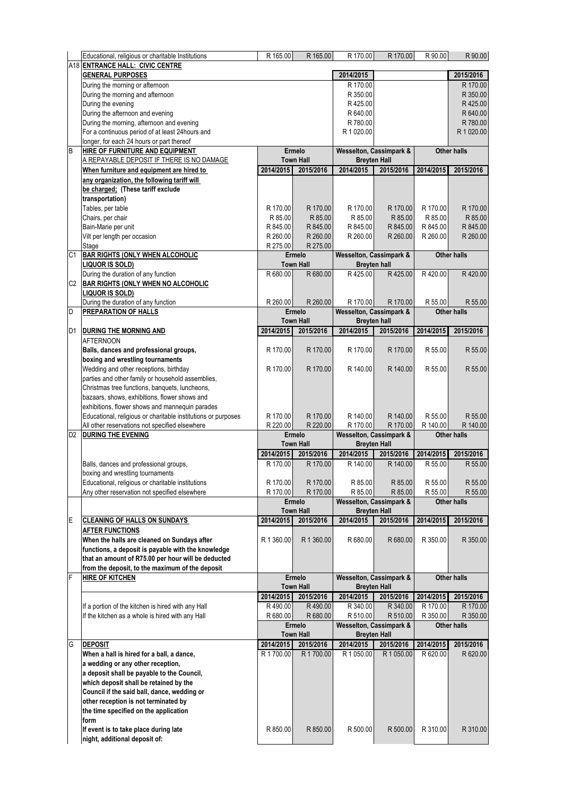|                | Educational, religious or charitable Institutions                                                 | R 165.00   | R 165.00                   | R 170.00                                       | R 170.00                                       | R 90.00            | R 90.00                                                                                               |  |
|----------------|---------------------------------------------------------------------------------------------------|------------|----------------------------|------------------------------------------------|------------------------------------------------|--------------------|-------------------------------------------------------------------------------------------------------|--|
|                | A18 ENTRANCE HALL: CIVIC CENTRE                                                                   |            |                            |                                                |                                                |                    |                                                                                                       |  |
|                | 2014/2015<br><b>GENERAL PURPOSES</b>                                                              |            |                            |                                                |                                                |                    | 2015/2016                                                                                             |  |
|                | During the morning or afternoon                                                                   |            |                            | R 170.00                                       |                                                |                    | R 170.00                                                                                              |  |
|                | During the morning and afternoon<br>During the evening                                            |            |                            | R 350.00<br>R425.00                            |                                                |                    | R 350.00<br>R425.00                                                                                   |  |
|                | During the afternoon and evening                                                                  |            |                            | R 640.00                                       |                                                |                    | R 640.00                                                                                              |  |
|                | During the morning, afternoon and evening                                                         |            |                            | R 780.00                                       |                                                |                    | R 780.00                                                                                              |  |
|                | For a continuous period of at least 24hours and                                                   |            |                            | R 1 020.00                                     |                                                |                    | R 1 020.00                                                                                            |  |
|                | longer, for each 24 hours or part thereof                                                         |            |                            |                                                |                                                |                    |                                                                                                       |  |
| $\overline{B}$ | HIRE OF FURNITURE AND EQUIPMENT                                                                   |            | Ermelo                     |                                                | Wesselton, Cassimpark &                        | <b>Other halls</b> |                                                                                                       |  |
|                | A REPAYABLE DEPOSIT IF THERE IS NO DAMAGE                                                         |            | <b>Town Hall</b>           |                                                | <b>Breyten Hall</b>                            |                    |                                                                                                       |  |
|                | When furniture and equipment are hired to                                                         | 2014/2015  | 2015/2016                  | 2014/2015                                      | 2015/2016                                      | 2014/2015          | 2015/2016                                                                                             |  |
|                | any organization, the following tariff will                                                       |            |                            |                                                |                                                |                    |                                                                                                       |  |
|                | be charged; (These tariff exclude                                                                 |            |                            |                                                |                                                |                    |                                                                                                       |  |
|                | transportation)<br>Tables, per table                                                              | R 170.00   | R 170.00                   | R 170.00                                       | R 170.00                                       | R 170.00           | R 170.00                                                                                              |  |
|                | Chairs, per chair                                                                                 | R 85.00    | R 85.00                    | R 85.00                                        | R 85.00                                        | R 85.00            | R 85.00                                                                                               |  |
|                | Bain-Marie per unit                                                                               | R 845.00   | R 845.00                   | R 845.00                                       | R 845.00                                       | R 845.00           | R 845.00                                                                                              |  |
|                | Vilt per length per occasion                                                                      | R 260.00   | R 260.00                   | R 260.00                                       | R 260.00                                       | R 260.00           | R 260.00                                                                                              |  |
|                | Stage                                                                                             | R 275.00   | R 275.00                   |                                                |                                                |                    |                                                                                                       |  |
| C1             | <b>BAR RIGHTS (ONLY WHEN ALCOHOLIC</b>                                                            |            | Ermelo                     | <b>Wesselton, Cassimpark &amp;</b>             |                                                |                    | <b>Other halls</b>                                                                                    |  |
|                | LIQUOR IS SOLD)                                                                                   |            | <b>Town Hall</b>           | <b>Breyten hall</b>                            |                                                |                    |                                                                                                       |  |
|                | During the duration of any function                                                               | R 680.00   | R 680.00                   | R425.00                                        | R425.00                                        | R420.00            | R420.00                                                                                               |  |
| C2             | <b>BAR RIGHTS (ONLY WHEN NO ALCOHOLIC</b>                                                         |            |                            |                                                |                                                |                    |                                                                                                       |  |
|                | LIQUOR IS SOLD)                                                                                   |            |                            |                                                |                                                |                    |                                                                                                       |  |
| D              | During the duration of any function<br><b>PREPARATION OF HALLS</b>                                | R 260.00   | R 260.00<br><b>Ermelo</b>  | R 170.00<br><b>Wesselton, Cassimpark &amp;</b> | R 170.00                                       | R 55.00            | R 55.00<br><b>Other halls</b>                                                                         |  |
|                |                                                                                                   |            | <b>Town Hall</b>           |                                                | <b>Breyten hall</b>                            |                    |                                                                                                       |  |
| D <sub>1</sub> | DURING THE MORNING AND                                                                            | 2014/2015  | 2015/2016                  | 2014/2015                                      | 2015/2016                                      | 2014/2015          | 2015/2016                                                                                             |  |
|                | <b>AFTERNOON</b>                                                                                  |            |                            |                                                |                                                |                    |                                                                                                       |  |
|                | Balls, dances and professional groups,                                                            | R 170.00   | R 170.00                   | R 170.00                                       | R 170.00                                       | R 55.00            | R 55.00                                                                                               |  |
|                | boxing and wrestling tournaments                                                                  |            |                            |                                                |                                                |                    |                                                                                                       |  |
|                | Wedding and other receptions, birthday                                                            | R 170.00   | R 170.00                   | R 140.00                                       | R 140.00                                       | R 55.00            | R 55.00                                                                                               |  |
|                | parties and other family or household assemblies,                                                 |            |                            |                                                |                                                |                    |                                                                                                       |  |
|                | Christmas tree functions, banquets, luncheons,                                                    |            |                            |                                                |                                                |                    |                                                                                                       |  |
|                | bazaars, shows, exhibitions, flower shows and                                                     |            |                            |                                                |                                                |                    |                                                                                                       |  |
|                |                                                                                                   |            |                            |                                                |                                                |                    |                                                                                                       |  |
|                | exhibitions, flower shows and mannequin parades                                                   |            |                            |                                                |                                                |                    |                                                                                                       |  |
|                | Educational, religious or charitable institutions or purposes                                     | R 170.00   | R 170.00                   | R 140.00                                       | R 140.00                                       | R 55.00            |                                                                                                       |  |
|                | All other reservations not specified elsewhere                                                    | R 220.00   | R 220.00<br>Ermelo         | R 170.00                                       | R 170.00                                       | R 140.00           | <b>Other halls</b>                                                                                    |  |
| D <sub>2</sub> | <b>DURING THE EVENING</b>                                                                         |            | <b>Town Hall</b>           |                                                | Wesselton, Cassimpark &<br><b>Breyten Hall</b> |                    |                                                                                                       |  |
|                |                                                                                                   | 2014/2015  | 2015/2016                  | 2014/2015                                      | 2015/2016                                      | 2014/2015          | 2015/2016                                                                                             |  |
|                | Balls, dances and professional groups,                                                            | R 170.00   | R 170.00                   | R 140.00                                       | R 140.00                                       | R 55.00            |                                                                                                       |  |
|                | boxing and wrestling tournaments                                                                  |            |                            |                                                |                                                |                    |                                                                                                       |  |
|                | Educational, religious or charitable institutions                                                 | R 170.00   | R 170.00                   | R 85.00                                        | R 85.00                                        | R 55.00            |                                                                                                       |  |
|                | Any other reservation not specified elsewhere                                                     | R 170.00   | R 170.00                   | R 85.00                                        | R 85.00                                        | R 55.00            |                                                                                                       |  |
|                |                                                                                                   |            | Ermelo                     |                                                | Wesselton, Cassimpark &                        |                    | <b>Other halls</b>                                                                                    |  |
|                |                                                                                                   |            | <b>Town Hall</b>           |                                                | <b>Breyten Hall</b>                            |                    |                                                                                                       |  |
| E              | <b>CLEANING OF HALLS ON SUNDAYS</b>                                                               | 2014/2015  | 2015/2016                  | 2014/2015                                      | 2015/2016                                      | 2014/2015          | 2015/2016                                                                                             |  |
|                | <b>AFTER FUNCTIONS</b>                                                                            | R 1 360.00 | R 1 360.00                 | R 680.00                                       | R 680.00                                       | R 350.00           |                                                                                                       |  |
|                | When the halls are cleaned on Sundays after<br>functions, a deposit is payable with the knowledge |            |                            |                                                |                                                |                    |                                                                                                       |  |
|                | that an amount of R75.00 per hour will be deducted                                                |            |                            |                                                |                                                |                    |                                                                                                       |  |
|                | from the deposit, to the maximum of the deposit                                                   |            |                            |                                                |                                                |                    |                                                                                                       |  |
| F              | <b>HIRE OF KITCHEN</b>                                                                            |            | Ermelo                     |                                                | Wesselton, Cassimpark &                        |                    | <b>Other halls</b>                                                                                    |  |
|                |                                                                                                   |            | <b>Town Hall</b>           |                                                | <b>Breyten Hall</b>                            |                    |                                                                                                       |  |
|                |                                                                                                   | 2014/2015  | 2015/2016                  | 2014/2015                                      | 2015/2016                                      | 2014/2015          | 2015/2016                                                                                             |  |
|                | If a portion of the kitchen is hired with any Hall                                                | R490.00    | R490.00                    | R 340.00                                       | R 340.00                                       | R 170.00           |                                                                                                       |  |
|                | If the kitchen as a whole is hired with any Hall                                                  | R 680.00   | R 680.00                   | R 510.00                                       | R 510.00                                       | R 350.00           |                                                                                                       |  |
|                |                                                                                                   |            | Ermelo<br><b>Town Hall</b> |                                                | Wesselton, Cassimpark &                        |                    | <b>Other halls</b>                                                                                    |  |
| G              | <b>DEPOSIT</b>                                                                                    | 2014/2015  | 2015/2016                  | 2014/2015                                      | <b>Breyten Hall</b><br>2015/2016               | 2014/2015          | R 55.00<br>R 140.00<br>R 55.00<br>R 55.00<br>R 55.00<br>R 350.00<br>R 170.00<br>R 350.00<br>2015/2016 |  |
|                | When a hall is hired for a ball, a dance,                                                         | R 1700.00  | R 1700.00                  | R 1 050.00                                     | R 1 050.00                                     | R 620.00           |                                                                                                       |  |
|                | a wedding or any other reception,                                                                 |            |                            |                                                |                                                |                    |                                                                                                       |  |
|                | a deposit shall be payable to the Council,                                                        |            |                            |                                                |                                                |                    |                                                                                                       |  |
|                | which deposit shall be retained by the                                                            |            |                            |                                                |                                                |                    |                                                                                                       |  |
|                | Council if the said ball, dance, wedding or                                                       |            |                            |                                                |                                                |                    |                                                                                                       |  |
|                | other reception is not terminated by                                                              |            |                            |                                                |                                                |                    | R 620.00                                                                                              |  |
|                | the time specified on the application                                                             |            |                            |                                                |                                                |                    |                                                                                                       |  |
|                | form<br>If event is to take place during late                                                     | R 850.00   | R 850.00                   | R 500.00                                       | R 500.00                                       | R 310.00           | R 310.00                                                                                              |  |